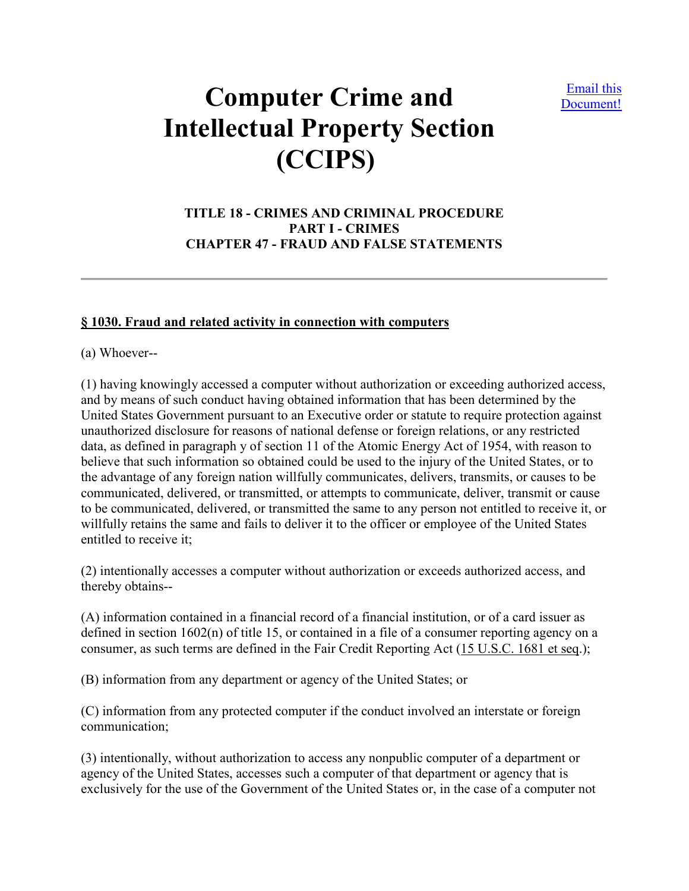# **Computer Crime and Intellectual Property Section (CCIPS)**

## **TITLE 18 - CRIMES AND CRIMINAL PROCEDURE PART I - CRIMES CHAPTER 47 - FRAUD AND FALSE STATEMENTS**

#### **§ 1030. Fraud and related activity in connection with computers**

(a) Whoever--

(1) having knowingly accessed a computer without authorization or exceeding authorized access, and by means of such conduct having obtained information that has been determined by the United States Government pursuant to an Executive order or statute to require protection against unauthorized disclosure for reasons of national defense or foreign relations, or any restricted data, as defined in paragraph y of section 11 of the Atomic Energy Act of 1954, with reason to believe that such information so obtained could be used to the injury of the United States, or to the advantage of any foreign nation willfully communicates, delivers, transmits, or causes to be communicated, delivered, or transmitted, or attempts to communicate, deliver, transmit or cause to be communicated, delivered, or transmitted the same to any person not entitled to receive it, or willfully retains the same and fails to deliver it to the officer or employee of the United States entitled to receive it;

(2) intentionally accesses a computer without authorization or exceeds authorized access, and thereby obtains--

(A) information contained in a financial record of a financial institution, or of a card issuer as defined in section 1602(n) of title 15, or contained in a file of a consumer reporting agency on a consumer, as such terms are defined in the Fair Credit Reporting Act (15 U.S.C. 1681 et seq.);

(B) information from any department or agency of the United States; or

(C) information from any protected computer if the conduct involved an interstate or foreign communication;

(3) intentionally, without authorization to access any nonpublic computer of a department or agency of the United States, accesses such a computer of that department or agency that is exclusively for the use of the Government of the United States or, in the case of a computer not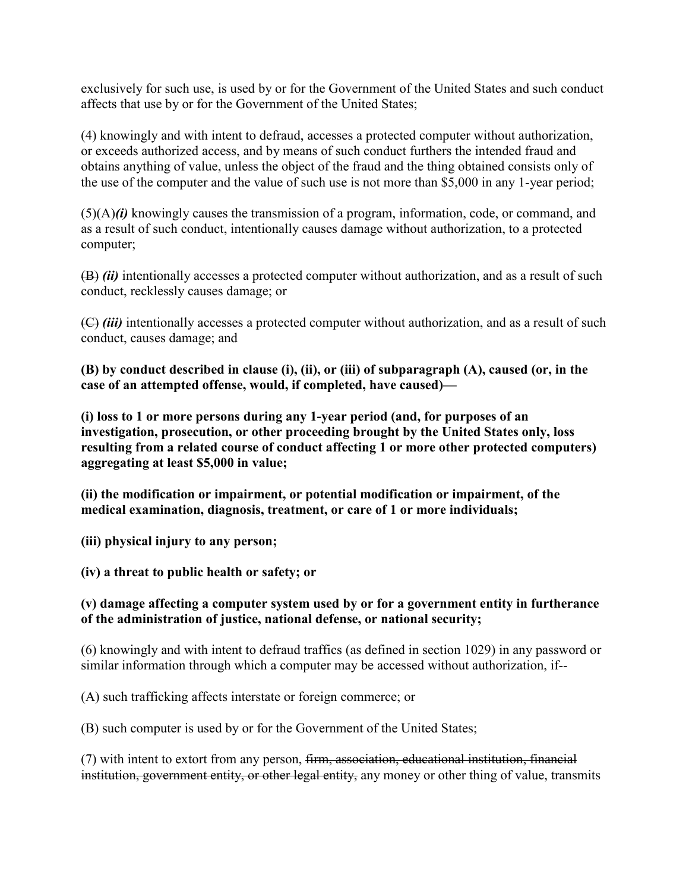exclusively for such use, is used by or for the Government of the United States and such conduct affects that use by or for the Government of the United States;

(4) knowingly and with intent to defraud, accesses a protected computer without authorization, or exceeds authorized access, and by means of such conduct furthers the intended fraud and obtains anything of value, unless the object of the fraud and the thing obtained consists only of the use of the computer and the value of such use is not more than \$5,000 in any 1-year period;

(5)(A)*(i)* knowingly causes the transmission of a program, information, code, or command, and as a result of such conduct, intentionally causes damage without authorization, to a protected computer;

(B) *(ii)* intentionally accesses a protected computer without authorization, and as a result of such conduct, recklessly causes damage; or

(C) *(iii)* intentionally accesses a protected computer without authorization, and as a result of such conduct, causes damage; and

**(B) by conduct described in clause (i), (ii), or (iii) of subparagraph (A), caused (or, in the case of an attempted offense, would, if completed, have caused)—** 

**(i) loss to 1 or more persons during any 1-year period (and, for purposes of an investigation, prosecution, or other proceeding brought by the United States only, loss resulting from a related course of conduct affecting 1 or more other protected computers) aggregating at least \$5,000 in value;** 

**(ii) the modification or impairment, or potential modification or impairment, of the medical examination, diagnosis, treatment, or care of 1 or more individuals;** 

**(iii) physical injury to any person;**

**(iv) a threat to public health or safety; or** 

## **(v) damage affecting a computer system used by or for a government entity in furtherance of the administration of justice, national defense, or national security;**

(6) knowingly and with intent to defraud traffics (as defined in section 1029) in any password or similar information through which a computer may be accessed without authorization, if--

(A) such trafficking affects interstate or foreign commerce; or

(B) such computer is used by or for the Government of the United States;

(7) with intent to extort from any person, firm, association, educational institution, financial institution, government entity, or other legal entity, any money or other thing of value, transmits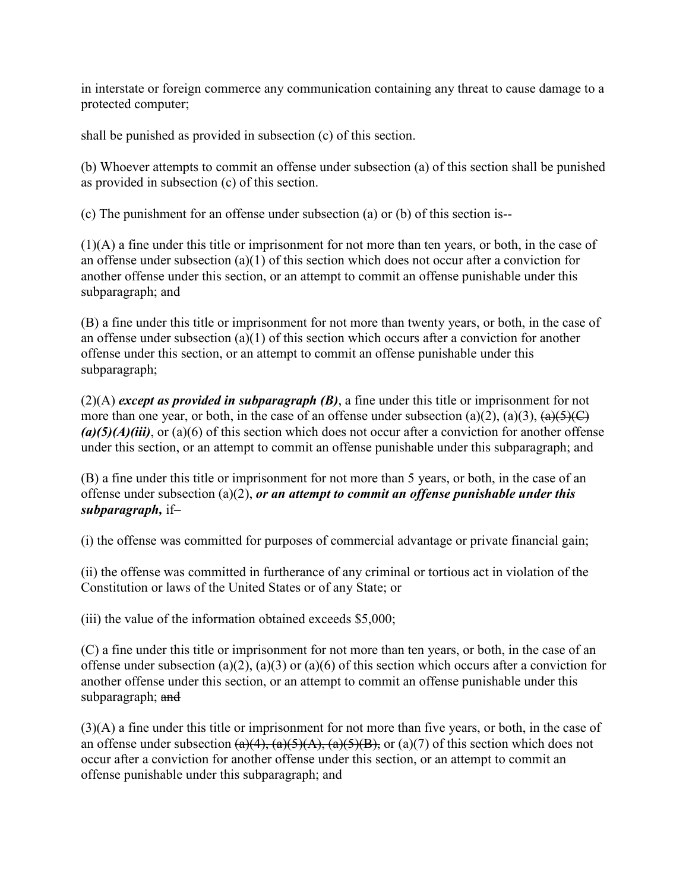in interstate or foreign commerce any communication containing any threat to cause damage to a protected computer;

shall be punished as provided in subsection (c) of this section.

(b) Whoever attempts to commit an offense under subsection (a) of this section shall be punished as provided in subsection (c) of this section.

(c) The punishment for an offense under subsection (a) or (b) of this section is--

(1)(A) a fine under this title or imprisonment for not more than ten years, or both, in the case of an offense under subsection (a)(1) of this section which does not occur after a conviction for another offense under this section, or an attempt to commit an offense punishable under this subparagraph; and

(B) a fine under this title or imprisonment for not more than twenty years, or both, in the case of an offense under subsection (a)(1) of this section which occurs after a conviction for another offense under this section, or an attempt to commit an offense punishable under this subparagraph;

(2)(A) *except as provided in subparagraph (B)*, a fine under this title or imprisonment for not more than one year, or both, in the case of an offense under subsection (a)(2), (a)(3),  $\left( \frac{a}{5}\right)\left( \frac{c}{5}\right)$ *(a)(5)(A)(iii)*, or (a)(6) of this section which does not occur after a conviction for another offense under this section, or an attempt to commit an offense punishable under this subparagraph; and

(B) a fine under this title or imprisonment for not more than 5 years, or both, in the case of an offense under subsection (a)(2), *or an attempt to commit an offense punishable under this subparagraph,* if–

(i) the offense was committed for purposes of commercial advantage or private financial gain;

(ii) the offense was committed in furtherance of any criminal or tortious act in violation of the Constitution or laws of the United States or of any State; or

(iii) the value of the information obtained exceeds \$5,000;

(C) a fine under this title or imprisonment for not more than ten years, or both, in the case of an offense under subsection (a)(2), (a)(3) or (a)(6) of this section which occurs after a conviction for another offense under this section, or an attempt to commit an offense punishable under this subparagraph; and

(3)(A) a fine under this title or imprisonment for not more than five years, or both, in the case of an offense under subsection  $(a)(4)$ ,  $(a)(5)(A)$ ,  $(a)(5)(B)$ , or  $(a)(7)$  of this section which does not occur after a conviction for another offense under this section, or an attempt to commit an offense punishable under this subparagraph; and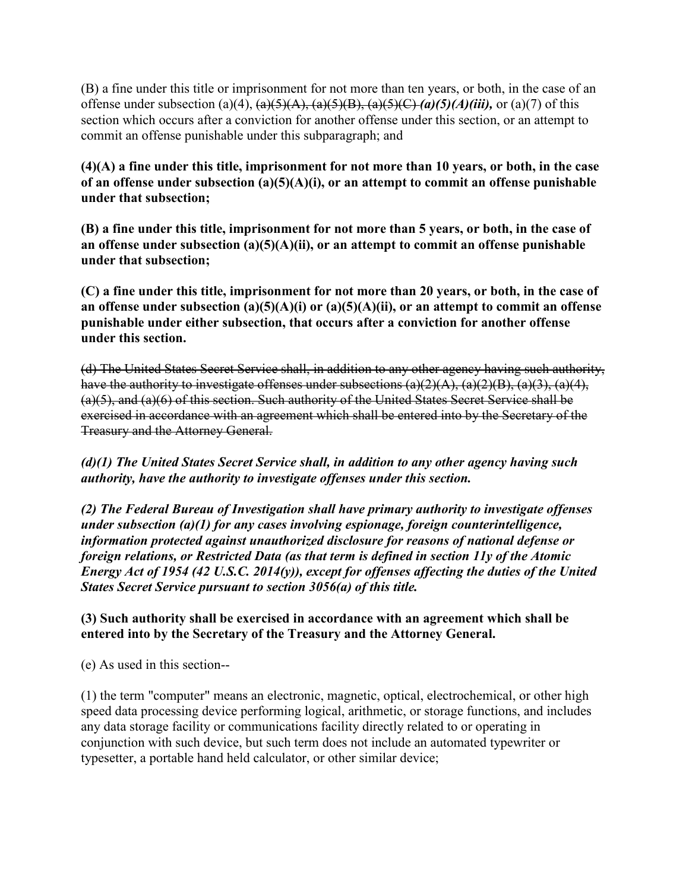(B) a fine under this title or imprisonment for not more than ten years, or both, in the case of an offense under subsection (a)(4),  $\left(\frac{a}{5}\right)\left(\frac{A}{8}\right)\left(\frac{5}{8}\right), \left(\frac{a}{5}\right)\left(\frac{C}{6}\right)\left(\frac{a}{5}\right)\left(\frac{A}{6}\right)$  or (a)(7) of this section which occurs after a conviction for another offense under this section, or an attempt to commit an offense punishable under this subparagraph; and

**(4)(A) a fine under this title, imprisonment for not more than 10 years, or both, in the case of an offense under subsection (a)(5)(A)(i), or an attempt to commit an offense punishable under that subsection;** 

**(B) a fine under this title, imprisonment for not more than 5 years, or both, in the case of an offense under subsection (a)(5)(A)(ii), or an attempt to commit an offense punishable under that subsection;** 

**(C) a fine under this title, imprisonment for not more than 20 years, or both, in the case of an offense under subsection (a)(5)(A)(i) or (a)(5)(A)(ii), or an attempt to commit an offense punishable under either subsection, that occurs after a conviction for another offense under this section.**

(d) The United States Secret Service shall, in addition to any other agency having such authority, have the authority to investigate offenses under subsections  $(a)(2)(A)$ ,  $(a)(2)(B)$ ,  $(a)(3)$ ,  $(a)(4)$ , (a)(5), and (a)(6) of this section. Such authority of the United States Secret Service shall be exercised in accordance with an agreement which shall be entered into by the Secretary of the Treasury and the Attorney General.

*(d)(1) The United States Secret Service shall, in addition to any other agency having such authority, have the authority to investigate offenses under this section.*

*(2) The Federal Bureau of Investigation shall have primary authority to investigate offenses under subsection (a)(1) for any cases involving espionage, foreign counterintelligence, information protected against unauthorized disclosure for reasons of national defense or foreign relations, or Restricted Data (as that term is defined in section 11y of the Atomic Energy Act of 1954 (42 U.S.C. 2014(y)), except for offenses affecting the duties of the United States Secret Service pursuant to section 3056(a) of this title.*

## **(3) Such authority shall be exercised in accordance with an agreement which shall be entered into by the Secretary of the Treasury and the Attorney General.**

(e) As used in this section--

(1) the term "computer" means an electronic, magnetic, optical, electrochemical, or other high speed data processing device performing logical, arithmetic, or storage functions, and includes any data storage facility or communications facility directly related to or operating in conjunction with such device, but such term does not include an automated typewriter or typesetter, a portable hand held calculator, or other similar device;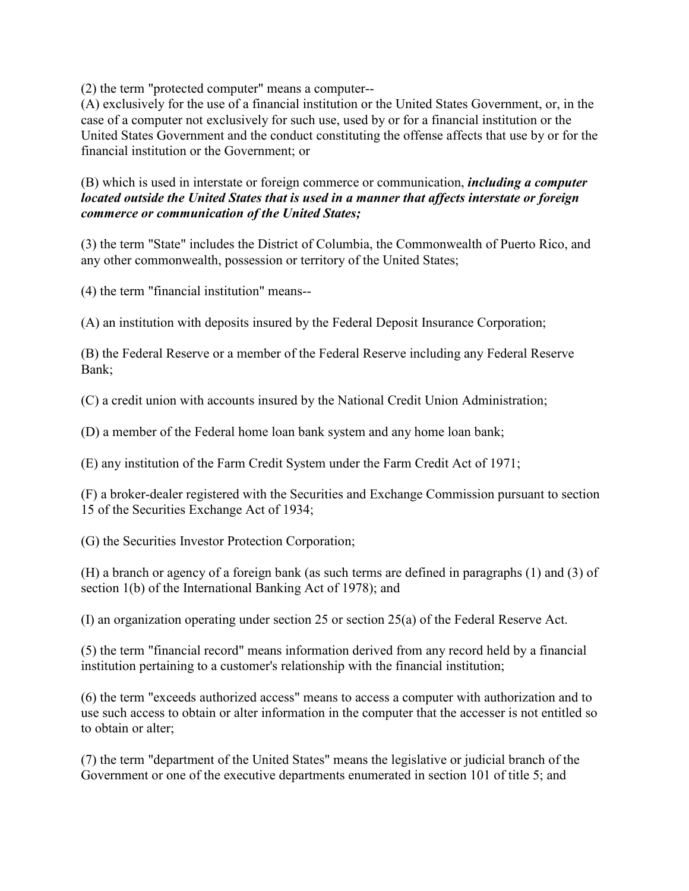(2) the term "protected computer" means a computer--

(A) exclusively for the use of a financial institution or the United States Government, or, in the case of a computer not exclusively for such use, used by or for a financial institution or the United States Government and the conduct constituting the offense affects that use by or for the financial institution or the Government; or

(B) which is used in interstate or foreign commerce or communication, *including a computer located outside the United States that is used in a manner that affects interstate or foreign commerce or communication of the United States;*

(3) the term "State" includes the District of Columbia, the Commonwealth of Puerto Rico, and any other commonwealth, possession or territory of the United States;

(4) the term "financial institution" means--

(A) an institution with deposits insured by the Federal Deposit Insurance Corporation;

(B) the Federal Reserve or a member of the Federal Reserve including any Federal Reserve Bank;

(C) a credit union with accounts insured by the National Credit Union Administration;

(D) a member of the Federal home loan bank system and any home loan bank;

(E) any institution of the Farm Credit System under the Farm Credit Act of 1971;

(F) a broker-dealer registered with the Securities and Exchange Commission pursuant to section 15 of the Securities Exchange Act of 1934;

(G) the Securities Investor Protection Corporation;

(H) a branch or agency of a foreign bank (as such terms are defined in paragraphs (1) and (3) of section 1(b) of the International Banking Act of 1978); and

(I) an organization operating under section 25 or section 25(a) of the Federal Reserve Act.

(5) the term "financial record" means information derived from any record held by a financial institution pertaining to a customer's relationship with the financial institution;

(6) the term "exceeds authorized access" means to access a computer with authorization and to use such access to obtain or alter information in the computer that the accesser is not entitled so to obtain or alter;

(7) the term "department of the United States" means the legislative or judicial branch of the Government or one of the executive departments enumerated in section 101 of title 5; and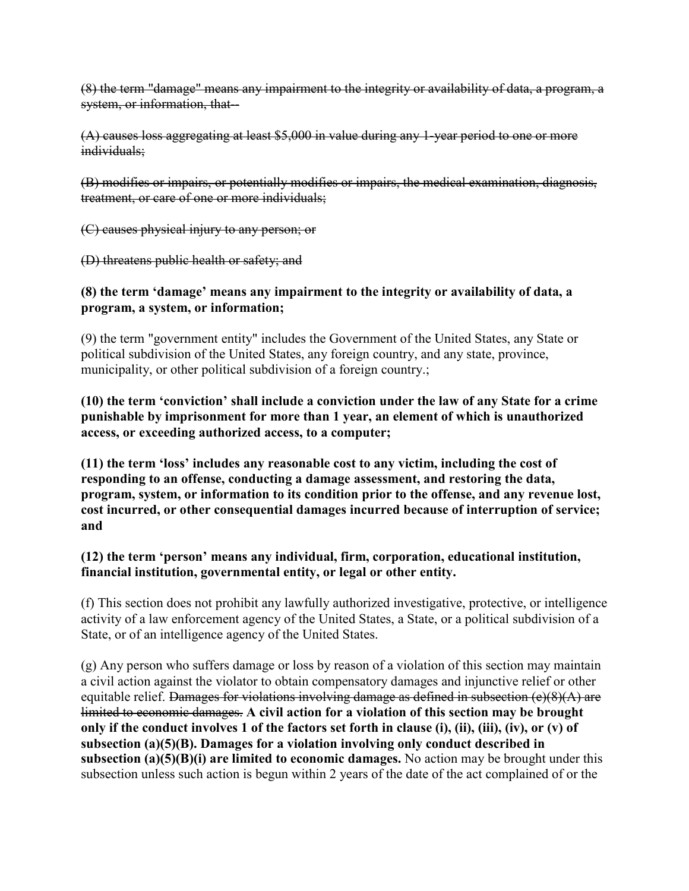(8) the term "damage" means any impairment to the integrity or availability of data, a program, a system, or information, that--

(A) causes loss aggregating at least \$5,000 in value during any 1-year period to one or more individuals;

(B) modifies or impairs, or potentially modifies or impairs, the medical examination, diagnosis, treatment, or care of one or more individuals;

(C) causes physical injury to any person; or

(D) threatens public health or safety; and

## **(8) the term 'damage' means any impairment to the integrity or availability of data, a program, a system, or information;**

(9) the term "government entity" includes the Government of the United States, any State or political subdivision of the United States, any foreign country, and any state, province, municipality, or other political subdivision of a foreign country.;

**(10) the term 'conviction' shall include a conviction under the law of any State for a crime punishable by imprisonment for more than 1 year, an element of which is unauthorized access, or exceeding authorized access, to a computer;** 

**(11) the term 'loss' includes any reasonable cost to any victim, including the cost of responding to an offense, conducting a damage assessment, and restoring the data, program, system, or information to its condition prior to the offense, and any revenue lost, cost incurred, or other consequential damages incurred because of interruption of service; and**

**(12) the term 'person' means any individual, firm, corporation, educational institution, financial institution, governmental entity, or legal or other entity.**

(f) This section does not prohibit any lawfully authorized investigative, protective, or intelligence activity of a law enforcement agency of the United States, a State, or a political subdivision of a State, or of an intelligence agency of the United States.

(g) Any person who suffers damage or loss by reason of a violation of this section may maintain a civil action against the violator to obtain compensatory damages and injunctive relief or other equitable relief. Damages for violations involving damage as defined in subsection (e)(8)(A) are limited to economic damages. **A civil action for a violation of this section may be brought only if the conduct involves 1 of the factors set forth in clause (i), (ii), (iii), (iv), or (v) of subsection (a)(5)(B). Damages for a violation involving only conduct described in subsection (a)(5)(B)(i) are limited to economic damages.** No action may be brought under this subsection unless such action is begun within 2 years of the date of the act complained of or the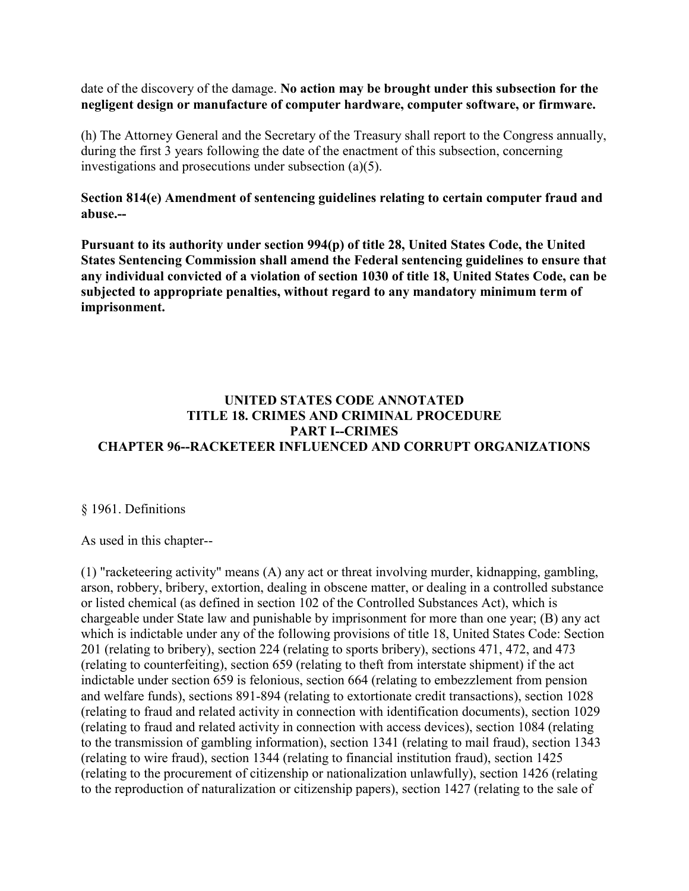date of the discovery of the damage. **No action may be brought under this subsection for the negligent design or manufacture of computer hardware, computer software, or firmware.**

(h) The Attorney General and the Secretary of the Treasury shall report to the Congress annually, during the first 3 years following the date of the enactment of this subsection, concerning investigations and prosecutions under subsection (a)(5).

**Section 814(e) Amendment of sentencing guidelines relating to certain computer fraud and abuse.--** 

**Pursuant to its authority under section 994(p) of title 28, United States Code, the United States Sentencing Commission shall amend the Federal sentencing guidelines to ensure that any individual convicted of a violation of section 1030 of title 18, United States Code, can be subjected to appropriate penalties, without regard to any mandatory minimum term of imprisonment.** 

## **UNITED STATES CODE ANNOTATED TITLE 18. CRIMES AND CRIMINAL PROCEDURE PART I--CRIMES CHAPTER 96--RACKETEER INFLUENCED AND CORRUPT ORGANIZATIONS**

#### § 1961. Definitions

As used in this chapter--

(1) "racketeering activity" means (A) any act or threat involving murder, kidnapping, gambling, arson, robbery, bribery, extortion, dealing in obscene matter, or dealing in a controlled substance or listed chemical (as defined in section 102 of the Controlled Substances Act), which is chargeable under State law and punishable by imprisonment for more than one year; (B) any act which is indictable under any of the following provisions of title 18, United States Code: Section 201 (relating to bribery), section 224 (relating to sports bribery), sections 471, 472, and 473 (relating to counterfeiting), section 659 (relating to theft from interstate shipment) if the act indictable under section 659 is felonious, section 664 (relating to embezzlement from pension and welfare funds), sections 891-894 (relating to extortionate credit transactions), section 1028 (relating to fraud and related activity in connection with identification documents), section 1029 (relating to fraud and related activity in connection with access devices), section 1084 (relating to the transmission of gambling information), section 1341 (relating to mail fraud), section 1343 (relating to wire fraud), section 1344 (relating to financial institution fraud), section 1425 (relating to the procurement of citizenship or nationalization unlawfully), section 1426 (relating to the reproduction of naturalization or citizenship papers), section 1427 (relating to the sale of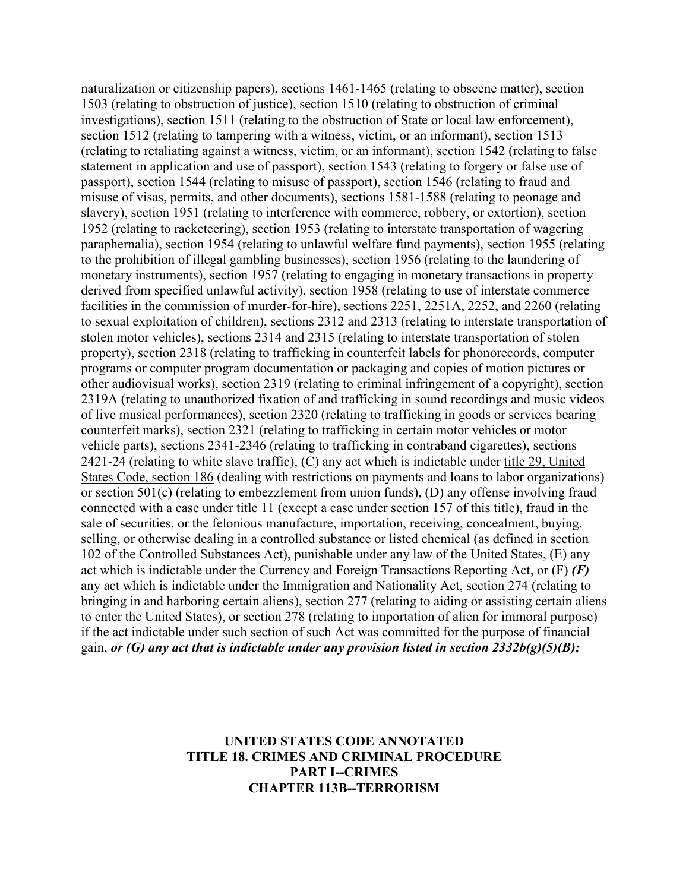naturalization or citizenship papers), sections 1461-1465 (relating to obscene matter), section 1503 (relating to obstruction of justice), section 1510 (relating to obstruction of criminal investigations), section 1511 (relating to the obstruction of State or local law enforcement), section 1512 (relating to tampering with a witness, victim, or an informant), section 1513 (relating to retaliating against a witness, victim, or an informant), section 1542 (relating to false statement in application and use of passport), section 1543 (relating to forgery or false use of passport), section 1544 (relating to misuse of passport), section 1546 (relating to fraud and misuse of visas, permits, and other documents), sections 1581-1588 (relating to peonage and slavery), section 1951 (relating to interference with commerce, robbery, or extortion), section 1952 (relating to racketeering), section 1953 (relating to interstate transportation of wagering paraphernalia), section 1954 (relating to unlawful welfare fund payments), section 1955 (relating to the prohibition of illegal gambling businesses), section 1956 (relating to the laundering of monetary instruments), section 1957 (relating to engaging in monetary transactions in property derived from specified unlawful activity), section 1958 (relating to use of interstate commerce facilities in the commission of murder-for-hire), sections 2251, 2251A, 2252, and 2260 (relating to sexual exploitation of children), sections 2312 and 2313 (relating to interstate transportation of stolen motor vehicles), sections 2314 and 2315 (relating to interstate transportation of stolen property), section 2318 (relating to trafficking in counterfeit labels for phonorecords, computer programs or computer program documentation or packaging and copies of motion pictures or other audiovisual works), section 2319 (relating to criminal infringement of a copyright), section 2319A (relating to unauthorized fixation of and trafficking in sound recordings and music videos of live musical performances), section 2320 (relating to trafficking in goods or services bearing counterfeit marks), section 2321 (relating to trafficking in certain motor vehicles or motor vehicle parts), sections 2341-2346 (relating to trafficking in contraband cigarettes), sections 2421-24 (relating to white slave traffic), (C) any act which is indictable under title 29, United States Code, section 186 (dealing with restrictions on payments and loans to labor organizations) or section 501(c) (relating to embezzlement from union funds), (D) any offense involving fraud connected with a case under title 11 (except a case under section 157 of this title), fraud in the sale of securities, or the felonious manufacture, importation, receiving, concealment, buying, selling, or otherwise dealing in a controlled substance or listed chemical (as defined in section 102 of the Controlled Substances Act), punishable under any law of the United States, (E) any act which is indictable under the Currency and Foreign Transactions Reporting Act, or (F) *(F)* any act which is indictable under the Immigration and Nationality Act, section 274 (relating to bringing in and harboring certain aliens), section 277 (relating to aiding or assisting certain aliens to enter the United States), or section 278 (relating to importation of alien for immoral purpose) if the act indictable under such section of such Act was committed for the purpose of financial gain, *or (G) any act that is indictable under any provision listed in section 2332b(g)(5)(B);*

#### **UNITED STATES CODE ANNOTATED TITLE 18. CRIMES AND CRIMINAL PROCEDURE PART I--CRIMES CHAPTER 113B--TERRORISM**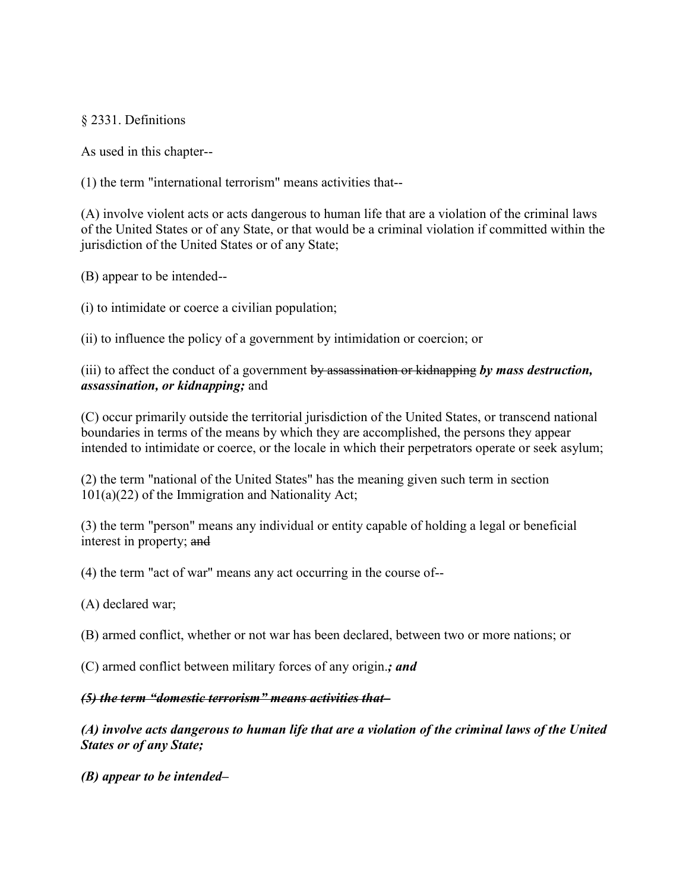## § 2331. Definitions

As used in this chapter--

(1) the term "international terrorism" means activities that--

(A) involve violent acts or acts dangerous to human life that are a violation of the criminal laws of the United States or of any State, or that would be a criminal violation if committed within the jurisdiction of the United States or of any State;

(B) appear to be intended--

(i) to intimidate or coerce a civilian population;

(ii) to influence the policy of a government by intimidation or coercion; or

### (iii) to affect the conduct of a government by assassination or kidnapping *by mass destruction, assassination, or kidnapping;* and

(C) occur primarily outside the territorial jurisdiction of the United States, or transcend national boundaries in terms of the means by which they are accomplished, the persons they appear intended to intimidate or coerce, or the locale in which their perpetrators operate or seek asylum;

(2) the term "national of the United States" has the meaning given such term in section 101(a)(22) of the Immigration and Nationality Act;

(3) the term "person" means any individual or entity capable of holding a legal or beneficial interest in property; and

(4) the term "act of war" means any act occurring in the course of--

(A) declared war;

(B) armed conflict, whether or not war has been declared, between two or more nations; or

(C) armed conflict between military forces of any origin.*; and*

*(5) the term "domestic terrorism" means activities that–*

*(A) involve acts dangerous to human life that are a violation of the criminal laws of the United States or of any State;*

*(B) appear to be intended–*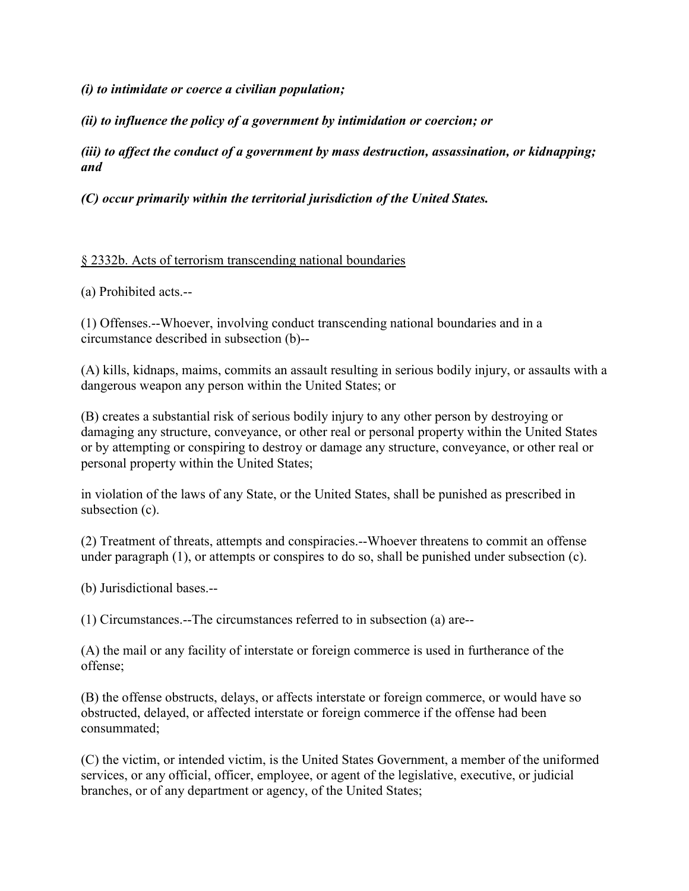*(i) to intimidate or coerce a civilian population;*

*(ii) to influence the policy of a government by intimidation or coercion; or*

*(iii) to affect the conduct of a government by mass destruction, assassination, or kidnapping; and*

*(C) occur primarily within the territorial jurisdiction of the United States.*

#### § 2332b. Acts of terrorism transcending national boundaries

(a) Prohibited acts.--

(1) Offenses.--Whoever, involving conduct transcending national boundaries and in a circumstance described in subsection (b)--

(A) kills, kidnaps, maims, commits an assault resulting in serious bodily injury, or assaults with a dangerous weapon any person within the United States; or

(B) creates a substantial risk of serious bodily injury to any other person by destroying or damaging any structure, conveyance, or other real or personal property within the United States or by attempting or conspiring to destroy or damage any structure, conveyance, or other real or personal property within the United States;

in violation of the laws of any State, or the United States, shall be punished as prescribed in subsection (c).

(2) Treatment of threats, attempts and conspiracies.--Whoever threatens to commit an offense under paragraph (1), or attempts or conspires to do so, shall be punished under subsection (c).

(b) Jurisdictional bases.--

(1) Circumstances.--The circumstances referred to in subsection (a) are--

(A) the mail or any facility of interstate or foreign commerce is used in furtherance of the offense;

(B) the offense obstructs, delays, or affects interstate or foreign commerce, or would have so obstructed, delayed, or affected interstate or foreign commerce if the offense had been consummated;

(C) the victim, or intended victim, is the United States Government, a member of the uniformed services, or any official, officer, employee, or agent of the legislative, executive, or judicial branches, or of any department or agency, of the United States;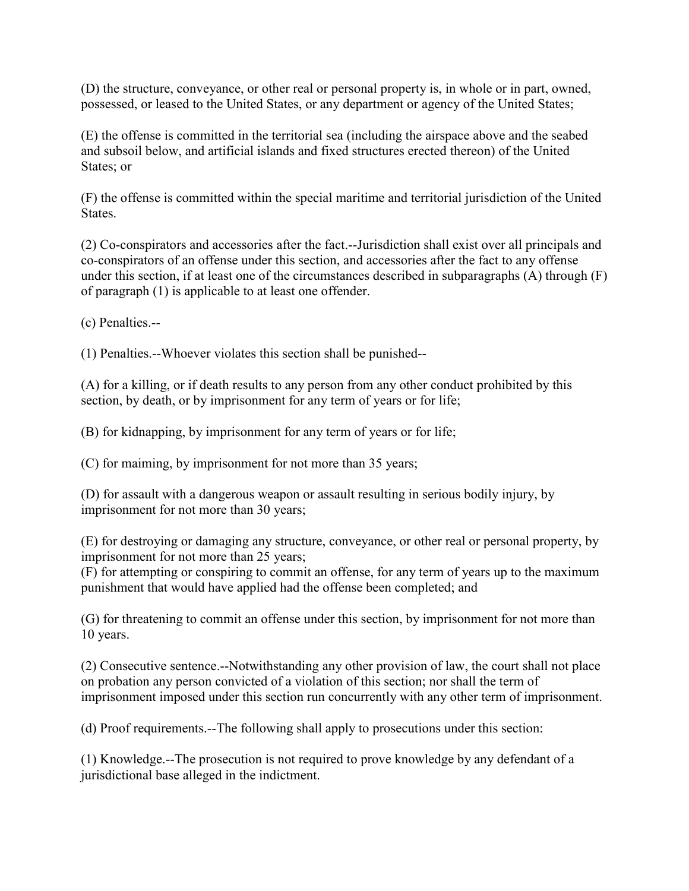(D) the structure, conveyance, or other real or personal property is, in whole or in part, owned, possessed, or leased to the United States, or any department or agency of the United States;

(E) the offense is committed in the territorial sea (including the airspace above and the seabed and subsoil below, and artificial islands and fixed structures erected thereon) of the United States; or

(F) the offense is committed within the special maritime and territorial jurisdiction of the United **States**.

(2) Co-conspirators and accessories after the fact.--Jurisdiction shall exist over all principals and co-conspirators of an offense under this section, and accessories after the fact to any offense under this section, if at least one of the circumstances described in subparagraphs (A) through (F) of paragraph (1) is applicable to at least one offender.

(c) Penalties.--

(1) Penalties.--Whoever violates this section shall be punished--

(A) for a killing, or if death results to any person from any other conduct prohibited by this section, by death, or by imprisonment for any term of years or for life;

(B) for kidnapping, by imprisonment for any term of years or for life;

(C) for maiming, by imprisonment for not more than 35 years;

(D) for assault with a dangerous weapon or assault resulting in serious bodily injury, by imprisonment for not more than 30 years;

(E) for destroying or damaging any structure, conveyance, or other real or personal property, by imprisonment for not more than 25 years;

(F) for attempting or conspiring to commit an offense, for any term of years up to the maximum punishment that would have applied had the offense been completed; and

(G) for threatening to commit an offense under this section, by imprisonment for not more than 10 years.

(2) Consecutive sentence.--Notwithstanding any other provision of law, the court shall not place on probation any person convicted of a violation of this section; nor shall the term of imprisonment imposed under this section run concurrently with any other term of imprisonment.

(d) Proof requirements.--The following shall apply to prosecutions under this section:

(1) Knowledge.--The prosecution is not required to prove knowledge by any defendant of a jurisdictional base alleged in the indictment.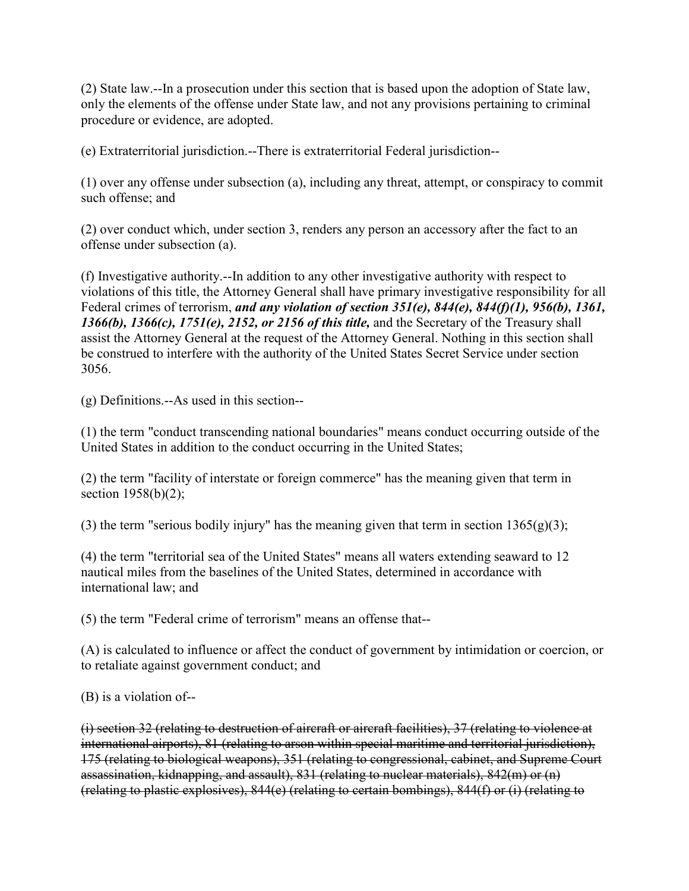(2) State law.--In a prosecution under this section that is based upon the adoption of State law, only the elements of the offense under State law, and not any provisions pertaining to criminal procedure or evidence, are adopted.

(e) Extraterritorial jurisdiction.--There is extraterritorial Federal jurisdiction--

(1) over any offense under subsection (a), including any threat, attempt, or conspiracy to commit such offense; and

(2) over conduct which, under section 3, renders any person an accessory after the fact to an offense under subsection (a).

(f) Investigative authority.--In addition to any other investigative authority with respect to violations of this title, the Attorney General shall have primary investigative responsibility for all Federal crimes of terrorism, *and any violation of section 351(e), 844(e), 844(f)(1), 956(b), 1361, 1366(b), 1366(c), 1751(e), 2152, or 2156 of this title,* and the Secretary of the Treasury shall assist the Attorney General at the request of the Attorney General. Nothing in this section shall be construed to interfere with the authority of the United States Secret Service under section 3056.

(g) Definitions.--As used in this section--

(1) the term "conduct transcending national boundaries" means conduct occurring outside of the United States in addition to the conduct occurring in the United States;

(2) the term "facility of interstate or foreign commerce" has the meaning given that term in section  $1958(b)(2)$ ;

(3) the term "serious bodily injury" has the meaning given that term in section  $1365(g)(3)$ ;

(4) the term "territorial sea of the United States" means all waters extending seaward to 12 nautical miles from the baselines of the United States, determined in accordance with international law; and

(5) the term "Federal crime of terrorism" means an offense that--

(A) is calculated to influence or affect the conduct of government by intimidation or coercion, or to retaliate against government conduct; and

(B) is a violation of--

(i) section 32 (relating to destruction of aircraft or aircraft facilities), 37 (relating to violence at international airports), 81 (relating to arson within special maritime and territorial jurisdiction), 175 (relating to biological weapons), 351 (relating to congressional, cabinet, and Supreme Court assassination, kidnapping, and assault), 831 (relating to nuclear materials), 842(m) or (n) (relating to plastic explosives), 844(e) (relating to certain bombings), 844(f) or (i) (relating to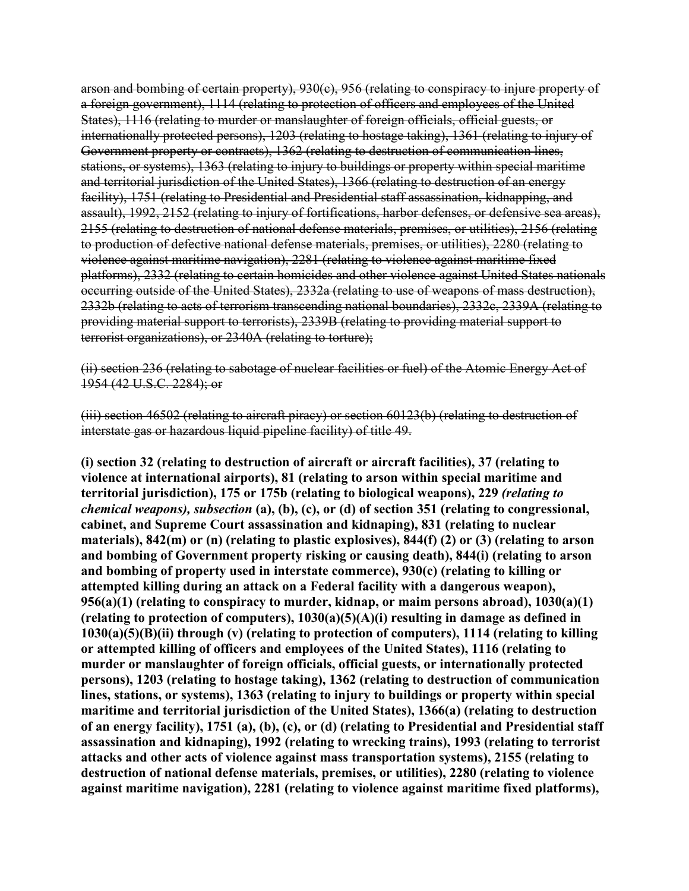arson and bombing of certain property), 930(c), 956 (relating to conspiracy to injure property of a foreign government), 1114 (relating to protection of officers and employees of the United States), 1116 (relating to murder or manslaughter of foreign officials, official guests, or internationally protected persons), 1203 (relating to hostage taking), 1361 (relating to injury of Government property or contracts), 1362 (relating to destruction of communication lines, stations, or systems), 1363 (relating to injury to buildings or property within special maritime and territorial jurisdiction of the United States), 1366 (relating to destruction of an energy facility), 1751 (relating to Presidential and Presidential staff assassination, kidnapping, and assault), 1992, 2152 (relating to injury of fortifications, harbor defenses, or defensive sea areas), 2155 (relating to destruction of national defense materials, premises, or utilities), 2156 (relating to production of defective national defense materials, premises, or utilities), 2280 (relating to violence against maritime navigation), 2281 (relating to violence against maritime fixed platforms), 2332 (relating to certain homicides and other violence against United States nationals occurring outside of the United States), 2332a (relating to use of weapons of mass destruction), 2332b (relating to acts of terrorism transcending national boundaries), 2332c, 2339A (relating to providing material support to terrorists), 2339B (relating to providing material support to terrorist organizations), or 2340A (relating to torture);

(ii) section 236 (relating to sabotage of nuclear facilities or fuel) of the Atomic Energy Act of 1954 (42 U.S.C. 2284); or

(iii) section 46502 (relating to aircraft piracy) or section 60123(b) (relating to destruction of interstate gas or hazardous liquid pipeline facility) of title 49.

**(i) section 32 (relating to destruction of aircraft or aircraft facilities), 37 (relating to violence at international airports), 81 (relating to arson within special maritime and territorial jurisdiction), 175 or 175b (relating to biological weapons), 229** *(relating to chemical weapons), subsection* **(a), (b), (c), or (d) of section 351 (relating to congressional, cabinet, and Supreme Court assassination and kidnaping), 831 (relating to nuclear materials), 842(m) or (n) (relating to plastic explosives), 844(f) (2) or (3) (relating to arson and bombing of Government property risking or causing death), 844(i) (relating to arson and bombing of property used in interstate commerce), 930(c) (relating to killing or attempted killing during an attack on a Federal facility with a dangerous weapon), 956(a)(1) (relating to conspiracy to murder, kidnap, or maim persons abroad), 1030(a)(1) (relating to protection of computers), 1030(a)(5)(A)(i) resulting in damage as defined in 1030(a)(5)(B)(ii) through (v) (relating to protection of computers), 1114 (relating to killing or attempted killing of officers and employees of the United States), 1116 (relating to murder or manslaughter of foreign officials, official guests, or internationally protected persons), 1203 (relating to hostage taking), 1362 (relating to destruction of communication lines, stations, or systems), 1363 (relating to injury to buildings or property within special maritime and territorial jurisdiction of the United States), 1366(a) (relating to destruction of an energy facility), 1751 (a), (b), (c), or (d) (relating to Presidential and Presidential staff assassination and kidnaping), 1992 (relating to wrecking trains), 1993 (relating to terrorist attacks and other acts of violence against mass transportation systems), 2155 (relating to destruction of national defense materials, premises, or utilities), 2280 (relating to violence against maritime navigation), 2281 (relating to violence against maritime fixed platforms),**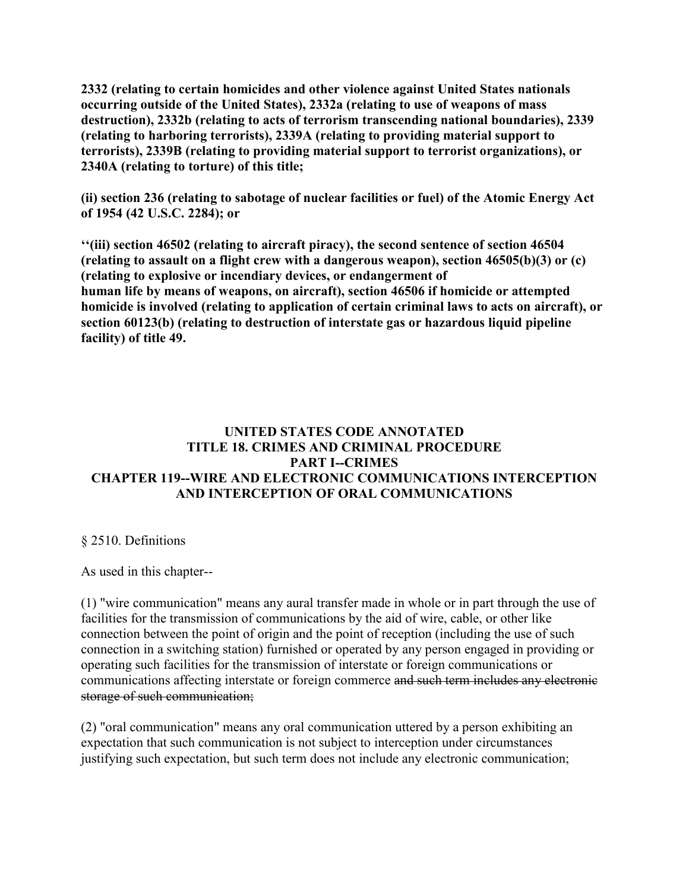**2332 (relating to certain homicides and other violence against United States nationals occurring outside of the United States), 2332a (relating to use of weapons of mass destruction), 2332b (relating to acts of terrorism transcending national boundaries), 2339 (relating to harboring terrorists), 2339A (relating to providing material support to terrorists), 2339B (relating to providing material support to terrorist organizations), or 2340A (relating to torture) of this title;** 

**(ii) section 236 (relating to sabotage of nuclear facilities or fuel) of the Atomic Energy Act of 1954 (42 U.S.C. 2284); or** 

**''(iii) section 46502 (relating to aircraft piracy), the second sentence of section 46504 (relating to assault on a flight crew with a dangerous weapon), section 46505(b)(3) or (c) (relating to explosive or incendiary devices, or endangerment of human life by means of weapons, on aircraft), section 46506 if homicide or attempted homicide is involved (relating to application of certain criminal laws to acts on aircraft), or section 60123(b) (relating to destruction of interstate gas or hazardous liquid pipeline facility) of title 49.**

## **UNITED STATES CODE ANNOTATED TITLE 18. CRIMES AND CRIMINAL PROCEDURE PART I--CRIMES CHAPTER 119--WIRE AND ELECTRONIC COMMUNICATIONS INTERCEPTION AND INTERCEPTION OF ORAL COMMUNICATIONS**

§ 2510. Definitions

As used in this chapter--

(1) "wire communication" means any aural transfer made in whole or in part through the use of facilities for the transmission of communications by the aid of wire, cable, or other like connection between the point of origin and the point of reception (including the use of such connection in a switching station) furnished or operated by any person engaged in providing or operating such facilities for the transmission of interstate or foreign communications or communications affecting interstate or foreign commerce and such term includes any electronic storage of such communication;

(2) "oral communication" means any oral communication uttered by a person exhibiting an expectation that such communication is not subject to interception under circumstances justifying such expectation, but such term does not include any electronic communication;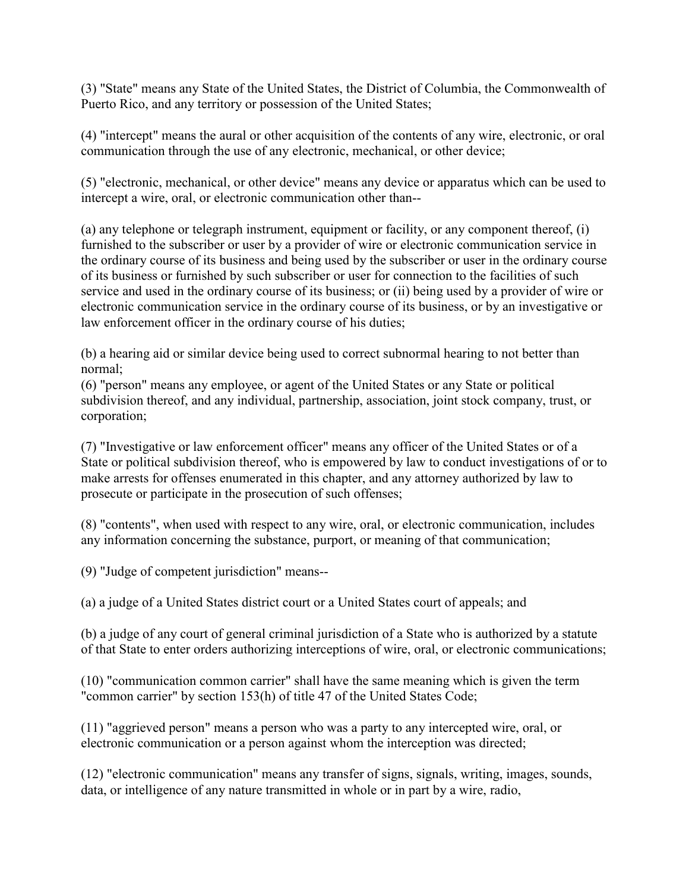(3) "State" means any State of the United States, the District of Columbia, the Commonwealth of Puerto Rico, and any territory or possession of the United States;

(4) "intercept" means the aural or other acquisition of the contents of any wire, electronic, or oral communication through the use of any electronic, mechanical, or other device;

(5) "electronic, mechanical, or other device" means any device or apparatus which can be used to intercept a wire, oral, or electronic communication other than--

(a) any telephone or telegraph instrument, equipment or facility, or any component thereof, (i) furnished to the subscriber or user by a provider of wire or electronic communication service in the ordinary course of its business and being used by the subscriber or user in the ordinary course of its business or furnished by such subscriber or user for connection to the facilities of such service and used in the ordinary course of its business; or (ii) being used by a provider of wire or electronic communication service in the ordinary course of its business, or by an investigative or law enforcement officer in the ordinary course of his duties;

(b) a hearing aid or similar device being used to correct subnormal hearing to not better than normal;

(6) "person" means any employee, or agent of the United States or any State or political subdivision thereof, and any individual, partnership, association, joint stock company, trust, or corporation;

(7) "Investigative or law enforcement officer" means any officer of the United States or of a State or political subdivision thereof, who is empowered by law to conduct investigations of or to make arrests for offenses enumerated in this chapter, and any attorney authorized by law to prosecute or participate in the prosecution of such offenses;

(8) "contents", when used with respect to any wire, oral, or electronic communication, includes any information concerning the substance, purport, or meaning of that communication;

(9) "Judge of competent jurisdiction" means--

(a) a judge of a United States district court or a United States court of appeals; and

(b) a judge of any court of general criminal jurisdiction of a State who is authorized by a statute of that State to enter orders authorizing interceptions of wire, oral, or electronic communications;

(10) "communication common carrier" shall have the same meaning which is given the term "common carrier" by section 153(h) of title 47 of the United States Code;

(11) "aggrieved person" means a person who was a party to any intercepted wire, oral, or electronic communication or a person against whom the interception was directed;

(12) "electronic communication" means any transfer of signs, signals, writing, images, sounds, data, or intelligence of any nature transmitted in whole or in part by a wire, radio,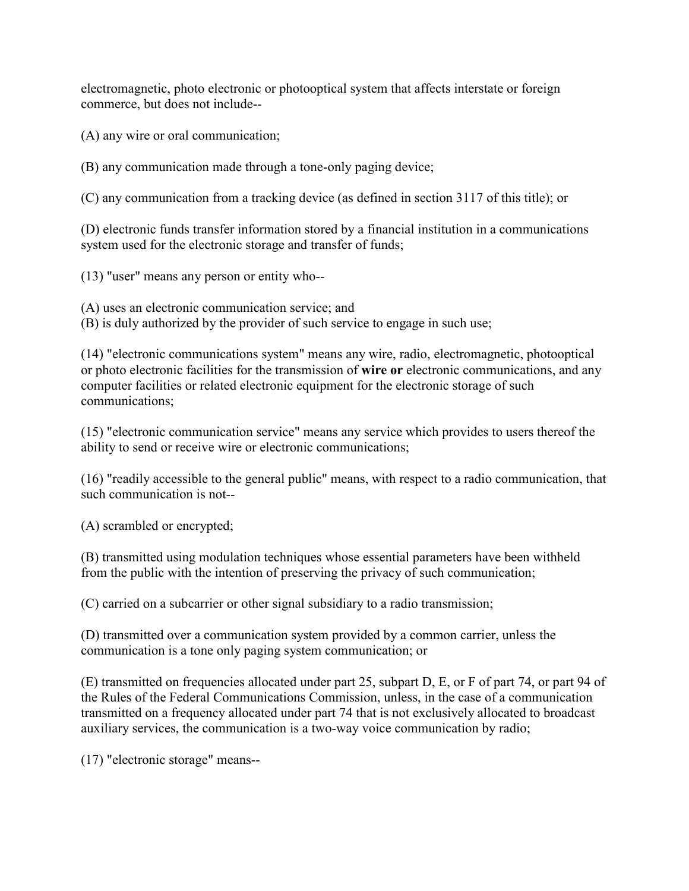electromagnetic, photo electronic or photooptical system that affects interstate or foreign commerce, but does not include--

(A) any wire or oral communication;

(B) any communication made through a tone-only paging device;

(C) any communication from a tracking device (as defined in section 3117 of this title); or

(D) electronic funds transfer information stored by a financial institution in a communications system used for the electronic storage and transfer of funds;

(13) "user" means any person or entity who--

(A) uses an electronic communication service; and

(B) is duly authorized by the provider of such service to engage in such use;

(14) "electronic communications system" means any wire, radio, electromagnetic, photooptical or photo electronic facilities for the transmission of **wire or** electronic communications, and any computer facilities or related electronic equipment for the electronic storage of such communications;

(15) "electronic communication service" means any service which provides to users thereof the ability to send or receive wire or electronic communications;

(16) "readily accessible to the general public" means, with respect to a radio communication, that such communication is not--

(A) scrambled or encrypted;

(B) transmitted using modulation techniques whose essential parameters have been withheld from the public with the intention of preserving the privacy of such communication;

(C) carried on a subcarrier or other signal subsidiary to a radio transmission;

(D) transmitted over a communication system provided by a common carrier, unless the communication is a tone only paging system communication; or

(E) transmitted on frequencies allocated under part 25, subpart D, E, or F of part 74, or part 94 of the Rules of the Federal Communications Commission, unless, in the case of a communication transmitted on a frequency allocated under part 74 that is not exclusively allocated to broadcast auxiliary services, the communication is a two-way voice communication by radio;

(17) "electronic storage" means--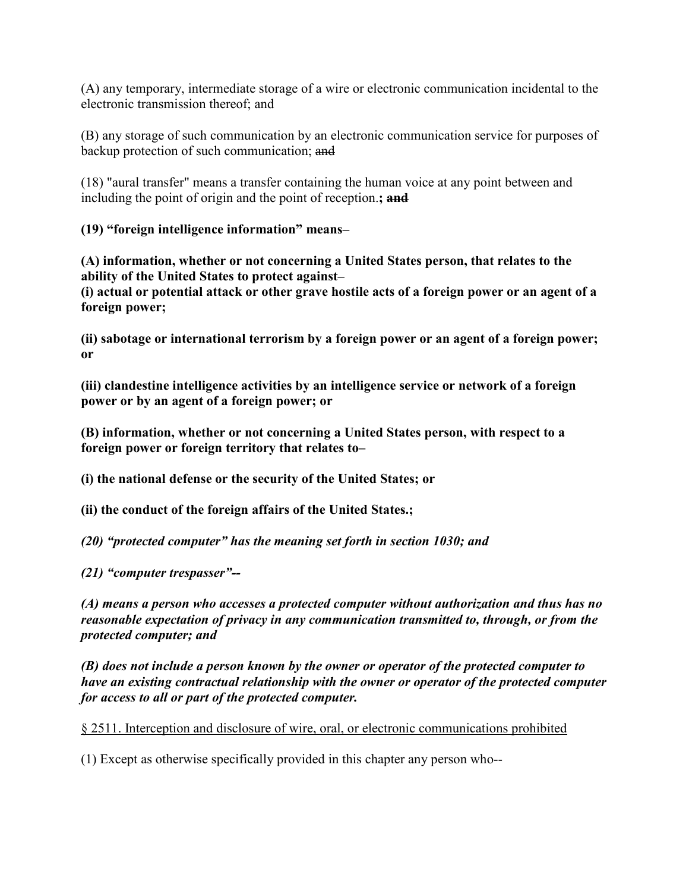(A) any temporary, intermediate storage of a wire or electronic communication incidental to the electronic transmission thereof; and

(B) any storage of such communication by an electronic communication service for purposes of backup protection of such communication; and

(18) "aural transfer" means a transfer containing the human voice at any point between and including the point of origin and the point of reception.**; and**

**(19) "foreign intelligence information" means–**

**(A) information, whether or not concerning a United States person, that relates to the ability of the United States to protect against– (i) actual or potential attack or other grave hostile acts of a foreign power or an agent of a foreign power;**

**(ii) sabotage or international terrorism by a foreign power or an agent of a foreign power; or**

**(iii) clandestine intelligence activities by an intelligence service or network of a foreign power or by an agent of a foreign power; or**

**(B) information, whether or not concerning a United States person, with respect to a foreign power or foreign territory that relates to–**

**(i) the national defense or the security of the United States; or** 

**(ii) the conduct of the foreign affairs of the United States.;**

*(20) "protected computer" has the meaning set forth in section 1030; and*

*(21) "computer trespasser"--*

*(A) means a person who accesses a protected computer without authorization and thus has no reasonable expectation of privacy in any communication transmitted to, through, or from the protected computer; and*

*(B) does not include a person known by the owner or operator of the protected computer to have an existing contractual relationship with the owner or operator of the protected computer for access to all or part of the protected computer.*

§ 2511. Interception and disclosure of wire, oral, or electronic communications prohibited

(1) Except as otherwise specifically provided in this chapter any person who--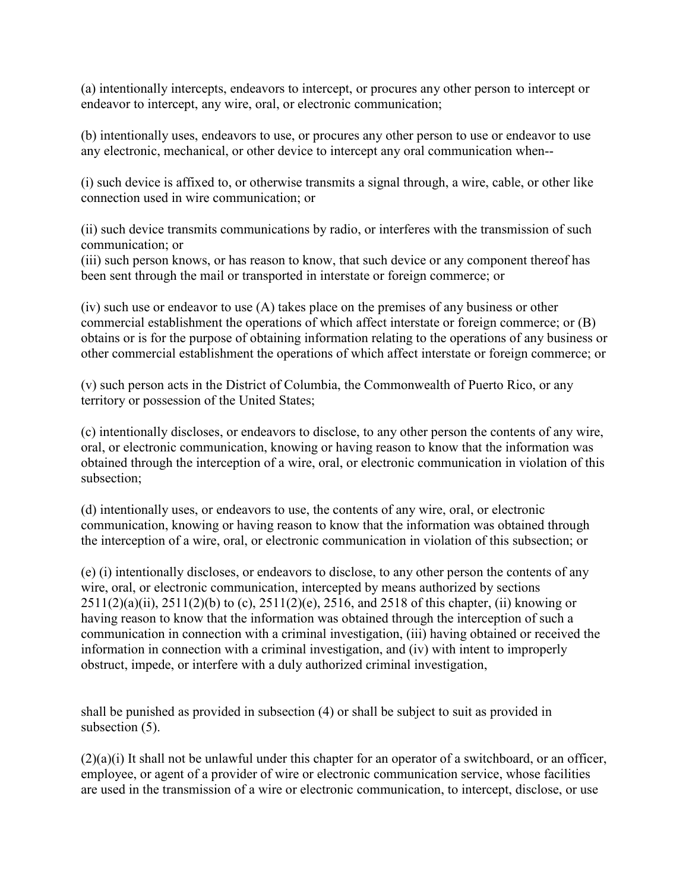(a) intentionally intercepts, endeavors to intercept, or procures any other person to intercept or endeavor to intercept, any wire, oral, or electronic communication;

(b) intentionally uses, endeavors to use, or procures any other person to use or endeavor to use any electronic, mechanical, or other device to intercept any oral communication when--

(i) such device is affixed to, or otherwise transmits a signal through, a wire, cable, or other like connection used in wire communication; or

(ii) such device transmits communications by radio, or interferes with the transmission of such communication; or

(iii) such person knows, or has reason to know, that such device or any component thereof has been sent through the mail or transported in interstate or foreign commerce; or

(iv) such use or endeavor to use (A) takes place on the premises of any business or other commercial establishment the operations of which affect interstate or foreign commerce; or (B) obtains or is for the purpose of obtaining information relating to the operations of any business or other commercial establishment the operations of which affect interstate or foreign commerce; or

(v) such person acts in the District of Columbia, the Commonwealth of Puerto Rico, or any territory or possession of the United States;

(c) intentionally discloses, or endeavors to disclose, to any other person the contents of any wire, oral, or electronic communication, knowing or having reason to know that the information was obtained through the interception of a wire, oral, or electronic communication in violation of this subsection;

(d) intentionally uses, or endeavors to use, the contents of any wire, oral, or electronic communication, knowing or having reason to know that the information was obtained through the interception of a wire, oral, or electronic communication in violation of this subsection; or

(e) (i) intentionally discloses, or endeavors to disclose, to any other person the contents of any wire, oral, or electronic communication, intercepted by means authorized by sections  $2511(2)(a)(ii)$ ,  $2511(2)(b)$  to (c),  $2511(2)(e)$ ,  $2516$ , and  $2518$  of this chapter, (ii) knowing or having reason to know that the information was obtained through the interception of such a communication in connection with a criminal investigation, (iii) having obtained or received the information in connection with a criminal investigation, and (iv) with intent to improperly obstruct, impede, or interfere with a duly authorized criminal investigation,

shall be punished as provided in subsection (4) or shall be subject to suit as provided in subsection  $(5)$ .

(2)(a)(i) It shall not be unlawful under this chapter for an operator of a switchboard, or an officer, employee, or agent of a provider of wire or electronic communication service, whose facilities are used in the transmission of a wire or electronic communication, to intercept, disclose, or use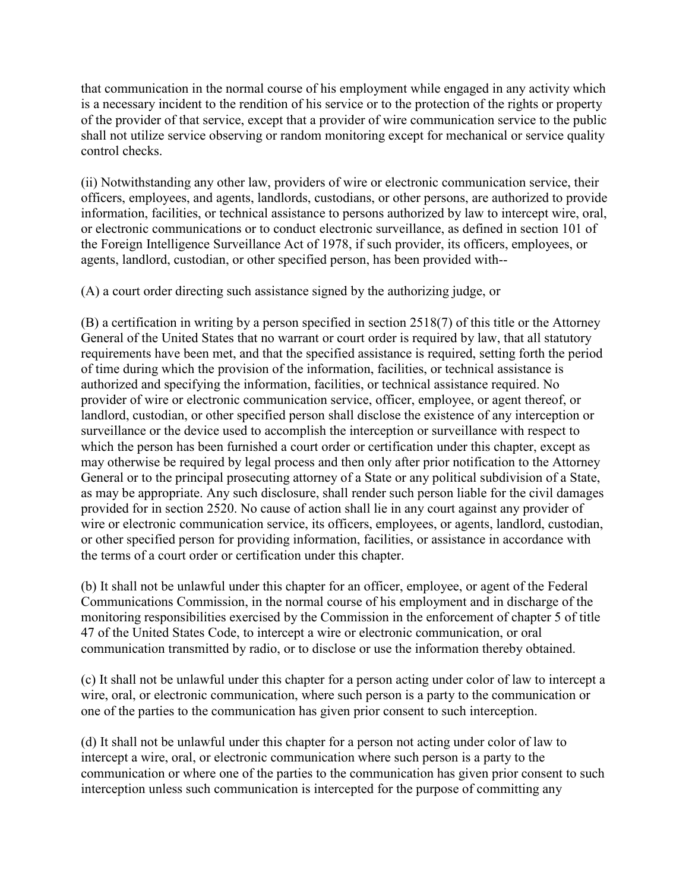that communication in the normal course of his employment while engaged in any activity which is a necessary incident to the rendition of his service or to the protection of the rights or property of the provider of that service, except that a provider of wire communication service to the public shall not utilize service observing or random monitoring except for mechanical or service quality control checks.

(ii) Notwithstanding any other law, providers of wire or electronic communication service, their officers, employees, and agents, landlords, custodians, or other persons, are authorized to provide information, facilities, or technical assistance to persons authorized by law to intercept wire, oral, or electronic communications or to conduct electronic surveillance, as defined in section 101 of the Foreign Intelligence Surveillance Act of 1978, if such provider, its officers, employees, or agents, landlord, custodian, or other specified person, has been provided with--

(A) a court order directing such assistance signed by the authorizing judge, or

(B) a certification in writing by a person specified in section 2518(7) of this title or the Attorney General of the United States that no warrant or court order is required by law, that all statutory requirements have been met, and that the specified assistance is required, setting forth the period of time during which the provision of the information, facilities, or technical assistance is authorized and specifying the information, facilities, or technical assistance required. No provider of wire or electronic communication service, officer, employee, or agent thereof, or landlord, custodian, or other specified person shall disclose the existence of any interception or surveillance or the device used to accomplish the interception or surveillance with respect to which the person has been furnished a court order or certification under this chapter, except as may otherwise be required by legal process and then only after prior notification to the Attorney General or to the principal prosecuting attorney of a State or any political subdivision of a State, as may be appropriate. Any such disclosure, shall render such person liable for the civil damages provided for in section 2520. No cause of action shall lie in any court against any provider of wire or electronic communication service, its officers, employees, or agents, landlord, custodian, or other specified person for providing information, facilities, or assistance in accordance with the terms of a court order or certification under this chapter.

(b) It shall not be unlawful under this chapter for an officer, employee, or agent of the Federal Communications Commission, in the normal course of his employment and in discharge of the monitoring responsibilities exercised by the Commission in the enforcement of chapter 5 of title 47 of the United States Code, to intercept a wire or electronic communication, or oral communication transmitted by radio, or to disclose or use the information thereby obtained.

(c) It shall not be unlawful under this chapter for a person acting under color of law to intercept a wire, oral, or electronic communication, where such person is a party to the communication or one of the parties to the communication has given prior consent to such interception.

(d) It shall not be unlawful under this chapter for a person not acting under color of law to intercept a wire, oral, or electronic communication where such person is a party to the communication or where one of the parties to the communication has given prior consent to such interception unless such communication is intercepted for the purpose of committing any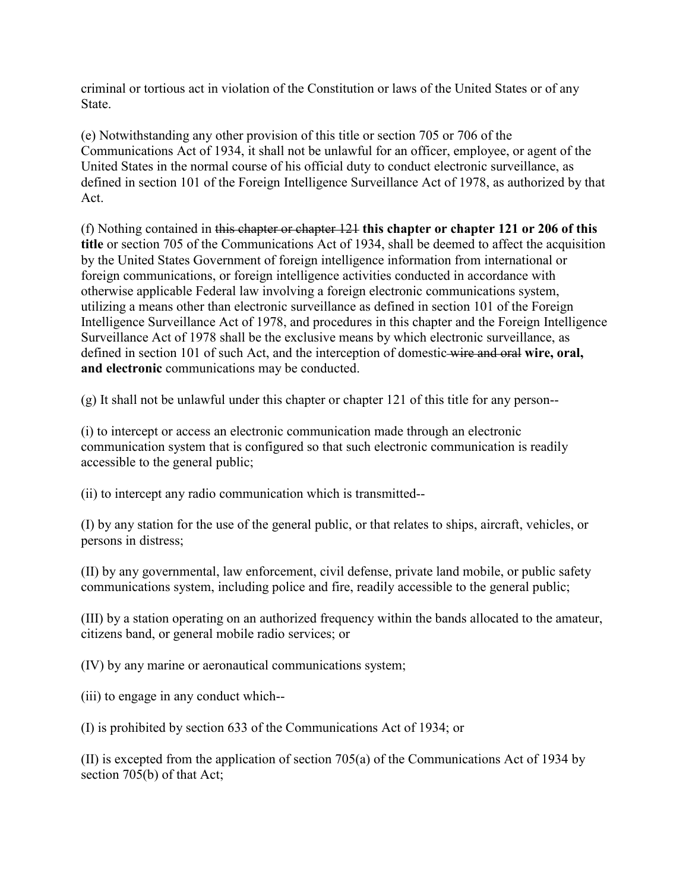criminal or tortious act in violation of the Constitution or laws of the United States or of any State.

(e) Notwithstanding any other provision of this title or section 705 or 706 of the Communications Act of 1934, it shall not be unlawful for an officer, employee, or agent of the United States in the normal course of his official duty to conduct electronic surveillance, as defined in section 101 of the Foreign Intelligence Surveillance Act of 1978, as authorized by that Act.

(f) Nothing contained in this chapter or chapter 121 **this chapter or chapter 121 or 206 of this title** or section 705 of the Communications Act of 1934, shall be deemed to affect the acquisition by the United States Government of foreign intelligence information from international or foreign communications, or foreign intelligence activities conducted in accordance with otherwise applicable Federal law involving a foreign electronic communications system, utilizing a means other than electronic surveillance as defined in section 101 of the Foreign Intelligence Surveillance Act of 1978, and procedures in this chapter and the Foreign Intelligence Surveillance Act of 1978 shall be the exclusive means by which electronic surveillance, as defined in section 101 of such Act, and the interception of domestic wire and oral **wire, oral, and electronic** communications may be conducted.

(g) It shall not be unlawful under this chapter or chapter 121 of this title for any person--

(i) to intercept or access an electronic communication made through an electronic communication system that is configured so that such electronic communication is readily accessible to the general public;

(ii) to intercept any radio communication which is transmitted--

(I) by any station for the use of the general public, or that relates to ships, aircraft, vehicles, or persons in distress;

(II) by any governmental, law enforcement, civil defense, private land mobile, or public safety communications system, including police and fire, readily accessible to the general public;

(III) by a station operating on an authorized frequency within the bands allocated to the amateur, citizens band, or general mobile radio services; or

(IV) by any marine or aeronautical communications system;

(iii) to engage in any conduct which--

(I) is prohibited by section 633 of the Communications Act of 1934; or

(II) is excepted from the application of section 705(a) of the Communications Act of 1934 by section 705(b) of that Act;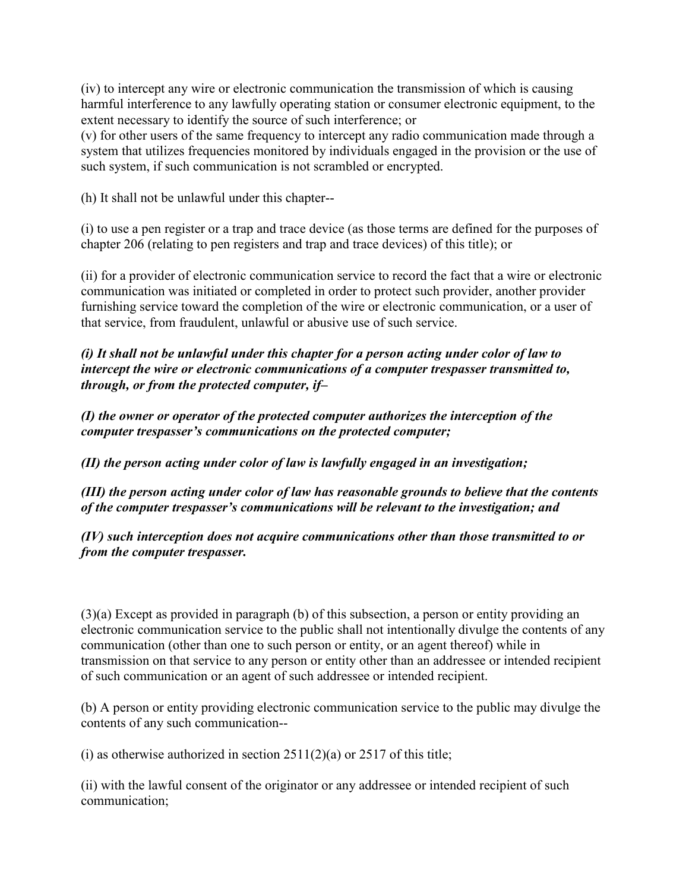(iv) to intercept any wire or electronic communication the transmission of which is causing harmful interference to any lawfully operating station or consumer electronic equipment, to the extent necessary to identify the source of such interference; or

(v) for other users of the same frequency to intercept any radio communication made through a system that utilizes frequencies monitored by individuals engaged in the provision or the use of such system, if such communication is not scrambled or encrypted.

(h) It shall not be unlawful under this chapter--

(i) to use a pen register or a trap and trace device (as those terms are defined for the purposes of chapter 206 (relating to pen registers and trap and trace devices) of this title); or

(ii) for a provider of electronic communication service to record the fact that a wire or electronic communication was initiated or completed in order to protect such provider, another provider furnishing service toward the completion of the wire or electronic communication, or a user of that service, from fraudulent, unlawful or abusive use of such service.

*(i) It shall not be unlawful under this chapter for a person acting under color of law to intercept the wire or electronic communications of a computer trespasser transmitted to, through, or from the protected computer, if–*

*(I) the owner or operator of the protected computer authorizes the interception of the computer trespasser's communications on the protected computer;*

*(II) the person acting under color of law is lawfully engaged in an investigation;*

*(III) the person acting under color of law has reasonable grounds to believe that the contents of the computer trespasser's communications will be relevant to the investigation; and*

*(IV) such interception does not acquire communications other than those transmitted to or from the computer trespasser.* 

(3)(a) Except as provided in paragraph (b) of this subsection, a person or entity providing an electronic communication service to the public shall not intentionally divulge the contents of any communication (other than one to such person or entity, or an agent thereof) while in transmission on that service to any person or entity other than an addressee or intended recipient of such communication or an agent of such addressee or intended recipient.

(b) A person or entity providing electronic communication service to the public may divulge the contents of any such communication--

(i) as otherwise authorized in section  $2511(2)(a)$  or  $2517$  of this title;

(ii) with the lawful consent of the originator or any addressee or intended recipient of such communication;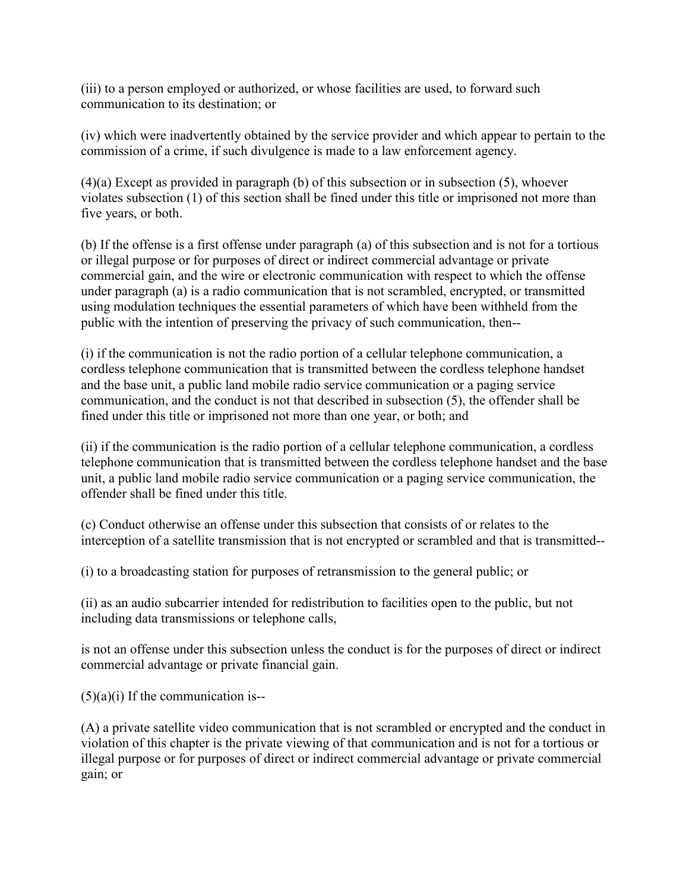(iii) to a person employed or authorized, or whose facilities are used, to forward such communication to its destination; or

(iv) which were inadvertently obtained by the service provider and which appear to pertain to the commission of a crime, if such divulgence is made to a law enforcement agency.

(4)(a) Except as provided in paragraph (b) of this subsection or in subsection (5), whoever violates subsection (1) of this section shall be fined under this title or imprisoned not more than five years, or both.

(b) If the offense is a first offense under paragraph (a) of this subsection and is not for a tortious or illegal purpose or for purposes of direct or indirect commercial advantage or private commercial gain, and the wire or electronic communication with respect to which the offense under paragraph (a) is a radio communication that is not scrambled, encrypted, or transmitted using modulation techniques the essential parameters of which have been withheld from the public with the intention of preserving the privacy of such communication, then--

(i) if the communication is not the radio portion of a cellular telephone communication, a cordless telephone communication that is transmitted between the cordless telephone handset and the base unit, a public land mobile radio service communication or a paging service communication, and the conduct is not that described in subsection (5), the offender shall be fined under this title or imprisoned not more than one year, or both; and

(ii) if the communication is the radio portion of a cellular telephone communication, a cordless telephone communication that is transmitted between the cordless telephone handset and the base unit, a public land mobile radio service communication or a paging service communication, the offender shall be fined under this title.

(c) Conduct otherwise an offense under this subsection that consists of or relates to the interception of a satellite transmission that is not encrypted or scrambled and that is transmitted--

(i) to a broadcasting station for purposes of retransmission to the general public; or

(ii) as an audio subcarrier intended for redistribution to facilities open to the public, but not including data transmissions or telephone calls,

is not an offense under this subsection unless the conduct is for the purposes of direct or indirect commercial advantage or private financial gain.

 $(5)(a)(i)$  If the communication is--

(A) a private satellite video communication that is not scrambled or encrypted and the conduct in violation of this chapter is the private viewing of that communication and is not for a tortious or illegal purpose or for purposes of direct or indirect commercial advantage or private commercial gain; or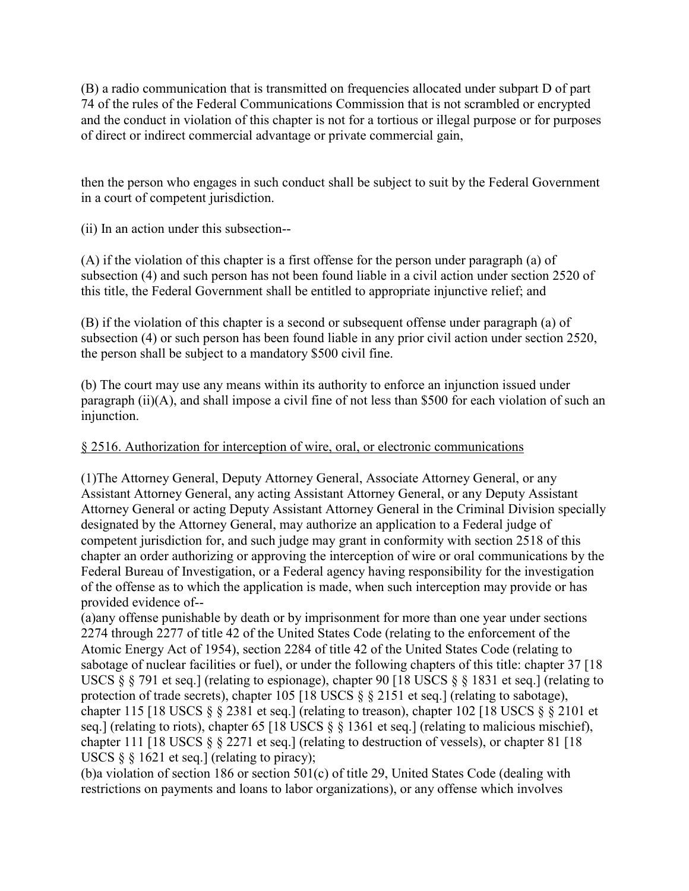(B) a radio communication that is transmitted on frequencies allocated under subpart D of part 74 of the rules of the Federal Communications Commission that is not scrambled or encrypted and the conduct in violation of this chapter is not for a tortious or illegal purpose or for purposes of direct or indirect commercial advantage or private commercial gain,

then the person who engages in such conduct shall be subject to suit by the Federal Government in a court of competent jurisdiction.

(ii) In an action under this subsection--

(A) if the violation of this chapter is a first offense for the person under paragraph (a) of subsection (4) and such person has not been found liable in a civil action under section 2520 of this title, the Federal Government shall be entitled to appropriate injunctive relief; and

(B) if the violation of this chapter is a second or subsequent offense under paragraph (a) of subsection (4) or such person has been found liable in any prior civil action under section 2520, the person shall be subject to a mandatory \$500 civil fine.

(b) The court may use any means within its authority to enforce an injunction issued under paragraph (ii)(A), and shall impose a civil fine of not less than \$500 for each violation of such an injunction.

## § 2516. Authorization for interception of wire, oral, or electronic communications

(1)The Attorney General, Deputy Attorney General, Associate Attorney General, or any Assistant Attorney General, any acting Assistant Attorney General, or any Deputy Assistant Attorney General or acting Deputy Assistant Attorney General in the Criminal Division specially designated by the Attorney General, may authorize an application to a Federal judge of competent jurisdiction for, and such judge may grant in conformity with section 2518 of this chapter an order authorizing or approving the interception of wire or oral communications by the Federal Bureau of Investigation, or a Federal agency having responsibility for the investigation of the offense as to which the application is made, when such interception may provide or has provided evidence of--

(a)any offense punishable by death or by imprisonment for more than one year under sections 2274 through 2277 of title 42 of the United States Code (relating to the enforcement of the Atomic Energy Act of 1954), section 2284 of title 42 of the United States Code (relating to sabotage of nuclear facilities or fuel), or under the following chapters of this title: chapter 37 [18 USCS § § 791 et seq.] (relating to espionage), chapter 90 [18 USCS § § 1831 et seq.] (relating to protection of trade secrets), chapter 105 [18 USCS § § 2151 et seq.] (relating to sabotage), chapter 115 [18 USCS § § 2381 et seq.] (relating to treason), chapter 102 [18 USCS § § 2101 et seq.] (relating to riots), chapter 65 [18 USCS § § 1361 et seq.] (relating to malicious mischief), chapter 111 [18 USCS § § 2271 et seq.] (relating to destruction of vessels), or chapter 81 [18 USCS  $\S$   $\S$   $\S$  1621 et seq.] (relating to piracy);

(b)a violation of section 186 or section 501(c) of title 29, United States Code (dealing with restrictions on payments and loans to labor organizations), or any offense which involves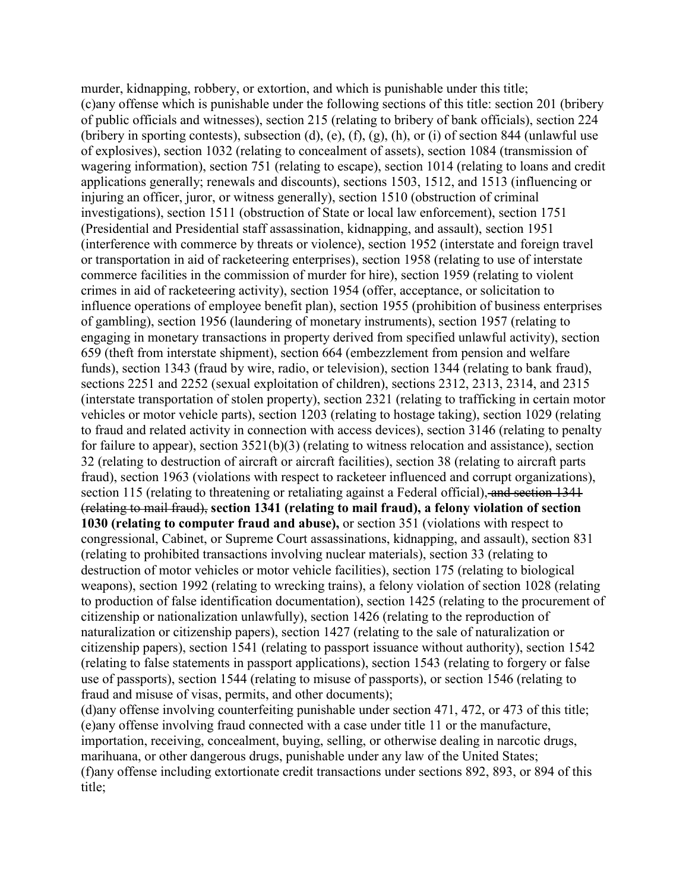murder, kidnapping, robbery, or extortion, and which is punishable under this title; (c)any offense which is punishable under the following sections of this title: section 201 (bribery of public officials and witnesses), section 215 (relating to bribery of bank officials), section 224 (bribery in sporting contests), subsection (d), (e), (f), (g), (h), or (i) of section 844 (unlawful use of explosives), section 1032 (relating to concealment of assets), section 1084 (transmission of wagering information), section 751 (relating to escape), section 1014 (relating to loans and credit applications generally; renewals and discounts), sections 1503, 1512, and 1513 (influencing or injuring an officer, juror, or witness generally), section 1510 (obstruction of criminal investigations), section 1511 (obstruction of State or local law enforcement), section 1751 (Presidential and Presidential staff assassination, kidnapping, and assault), section 1951 (interference with commerce by threats or violence), section 1952 (interstate and foreign travel or transportation in aid of racketeering enterprises), section 1958 (relating to use of interstate commerce facilities in the commission of murder for hire), section 1959 (relating to violent crimes in aid of racketeering activity), section 1954 (offer, acceptance, or solicitation to influence operations of employee benefit plan), section 1955 (prohibition of business enterprises of gambling), section 1956 (laundering of monetary instruments), section 1957 (relating to engaging in monetary transactions in property derived from specified unlawful activity), section 659 (theft from interstate shipment), section 664 (embezzlement from pension and welfare funds), section 1343 (fraud by wire, radio, or television), section 1344 (relating to bank fraud), sections 2251 and 2252 (sexual exploitation of children), sections 2312, 2313, 2314, and 2315 (interstate transportation of stolen property), section 2321 (relating to trafficking in certain motor vehicles or motor vehicle parts), section 1203 (relating to hostage taking), section 1029 (relating to fraud and related activity in connection with access devices), section 3146 (relating to penalty for failure to appear), section 3521(b)(3) (relating to witness relocation and assistance), section 32 (relating to destruction of aircraft or aircraft facilities), section 38 (relating to aircraft parts fraud), section 1963 (violations with respect to racketeer influenced and corrupt organizations), section 115 (relating to threatening or retaliating against a Federal official), and section 1341 (relating to mail fraud), **section 1341 (relating to mail fraud), a felony violation of section 1030 (relating to computer fraud and abuse),** or section 351 (violations with respect to congressional, Cabinet, or Supreme Court assassinations, kidnapping, and assault), section 831 (relating to prohibited transactions involving nuclear materials), section 33 (relating to destruction of motor vehicles or motor vehicle facilities), section 175 (relating to biological weapons), section 1992 (relating to wrecking trains), a felony violation of section 1028 (relating to production of false identification documentation), section 1425 (relating to the procurement of citizenship or nationalization unlawfully), section 1426 (relating to the reproduction of naturalization or citizenship papers), section 1427 (relating to the sale of naturalization or citizenship papers), section 1541 (relating to passport issuance without authority), section 1542 (relating to false statements in passport applications), section 1543 (relating to forgery or false use of passports), section 1544 (relating to misuse of passports), or section 1546 (relating to fraud and misuse of visas, permits, and other documents);

(d)any offense involving counterfeiting punishable under section 471, 472, or 473 of this title; (e)any offense involving fraud connected with a case under title 11 or the manufacture, importation, receiving, concealment, buying, selling, or otherwise dealing in narcotic drugs, marihuana, or other dangerous drugs, punishable under any law of the United States; (f)any offense including extortionate credit transactions under sections 892, 893, or 894 of this title;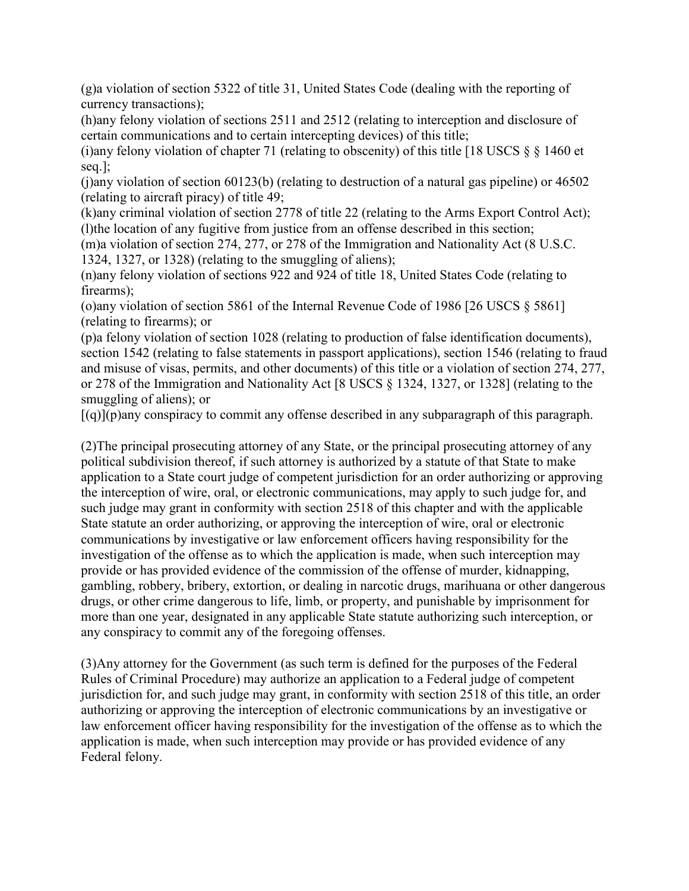(g)a violation of section 5322 of title 31, United States Code (dealing with the reporting of currency transactions);

(h)any felony violation of sections 2511 and 2512 (relating to interception and disclosure of certain communications and to certain intercepting devices) of this title;

(i)any felony violation of chapter 71 (relating to obscenity) of this title [18 USCS  $\S$   $\S$   $\S$  1460 et seq.];

(j)any violation of section 60123(b) (relating to destruction of a natural gas pipeline) or 46502 (relating to aircraft piracy) of title 49;

(k)any criminal violation of section 2778 of title 22 (relating to the Arms Export Control Act); (l)the location of any fugitive from justice from an offense described in this section;

(m)a violation of section 274, 277, or 278 of the Immigration and Nationality Act (8 U.S.C. 1324, 1327, or 1328) (relating to the smuggling of aliens);

(n)any felony violation of sections 922 and 924 of title 18, United States Code (relating to firearms);

(o)any violation of section 5861 of the Internal Revenue Code of 1986 [26 USCS § 5861] (relating to firearms); or

(p)a felony violation of section 1028 (relating to production of false identification documents), section 1542 (relating to false statements in passport applications), section 1546 (relating to fraud and misuse of visas, permits, and other documents) of this title or a violation of section 274, 277, or 278 of the Immigration and Nationality Act [8 USCS § 1324, 1327, or 1328] (relating to the smuggling of aliens); or

 $[(q)](p)$ any conspiracy to commit any offense described in any subparagraph of this paragraph.

(2)The principal prosecuting attorney of any State, or the principal prosecuting attorney of any political subdivision thereof, if such attorney is authorized by a statute of that State to make application to a State court judge of competent jurisdiction for an order authorizing or approving the interception of wire, oral, or electronic communications, may apply to such judge for, and such judge may grant in conformity with section 2518 of this chapter and with the applicable State statute an order authorizing, or approving the interception of wire, oral or electronic communications by investigative or law enforcement officers having responsibility for the investigation of the offense as to which the application is made, when such interception may provide or has provided evidence of the commission of the offense of murder, kidnapping, gambling, robbery, bribery, extortion, or dealing in narcotic drugs, marihuana or other dangerous drugs, or other crime dangerous to life, limb, or property, and punishable by imprisonment for more than one year, designated in any applicable State statute authorizing such interception, or any conspiracy to commit any of the foregoing offenses.

(3)Any attorney for the Government (as such term is defined for the purposes of the Federal Rules of Criminal Procedure) may authorize an application to a Federal judge of competent jurisdiction for, and such judge may grant, in conformity with section 2518 of this title, an order authorizing or approving the interception of electronic communications by an investigative or law enforcement officer having responsibility for the investigation of the offense as to which the application is made, when such interception may provide or has provided evidence of any Federal felony.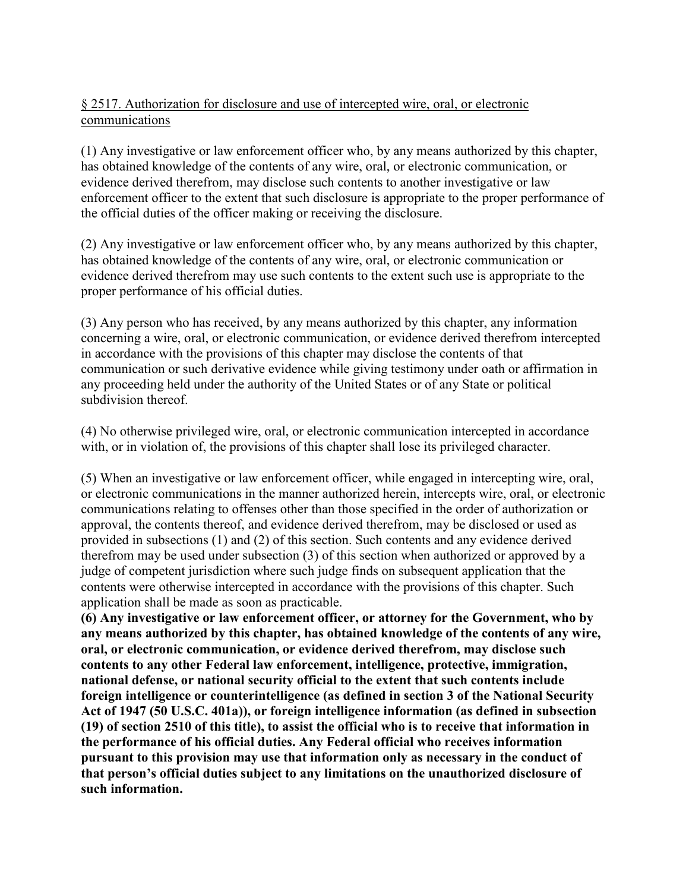## § 2517. Authorization for disclosure and use of intercepted wire, oral, or electronic communications

(1) Any investigative or law enforcement officer who, by any means authorized by this chapter, has obtained knowledge of the contents of any wire, oral, or electronic communication, or evidence derived therefrom, may disclose such contents to another investigative or law enforcement officer to the extent that such disclosure is appropriate to the proper performance of the official duties of the officer making or receiving the disclosure.

(2) Any investigative or law enforcement officer who, by any means authorized by this chapter, has obtained knowledge of the contents of any wire, oral, or electronic communication or evidence derived therefrom may use such contents to the extent such use is appropriate to the proper performance of his official duties.

(3) Any person who has received, by any means authorized by this chapter, any information concerning a wire, oral, or electronic communication, or evidence derived therefrom intercepted in accordance with the provisions of this chapter may disclose the contents of that communication or such derivative evidence while giving testimony under oath or affirmation in any proceeding held under the authority of the United States or of any State or political subdivision thereof.

(4) No otherwise privileged wire, oral, or electronic communication intercepted in accordance with, or in violation of, the provisions of this chapter shall lose its privileged character.

(5) When an investigative or law enforcement officer, while engaged in intercepting wire, oral, or electronic communications in the manner authorized herein, intercepts wire, oral, or electronic communications relating to offenses other than those specified in the order of authorization or approval, the contents thereof, and evidence derived therefrom, may be disclosed or used as provided in subsections (1) and (2) of this section. Such contents and any evidence derived therefrom may be used under subsection (3) of this section when authorized or approved by a judge of competent jurisdiction where such judge finds on subsequent application that the contents were otherwise intercepted in accordance with the provisions of this chapter. Such application shall be made as soon as practicable.

**(6) Any investigative or law enforcement officer, or attorney for the Government, who by any means authorized by this chapter, has obtained knowledge of the contents of any wire, oral, or electronic communication, or evidence derived therefrom, may disclose such contents to any other Federal law enforcement, intelligence, protective, immigration, national defense, or national security official to the extent that such contents include foreign intelligence or counterintelligence (as defined in section 3 of the National Security Act of 1947 (50 U.S.C. 401a)), or foreign intelligence information (as defined in subsection (19) of section 2510 of this title), to assist the official who is to receive that information in the performance of his official duties. Any Federal official who receives information pursuant to this provision may use that information only as necessary in the conduct of that person's official duties subject to any limitations on the unauthorized disclosure of such information.**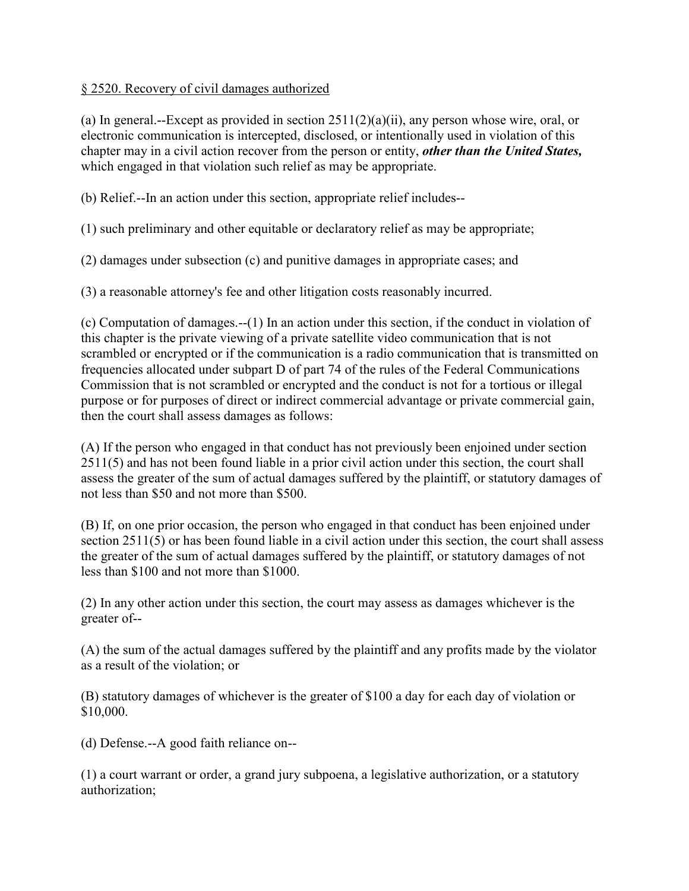#### § 2520. Recovery of civil damages authorized

(a) In general.--Except as provided in section 2511(2)(a)(ii), any person whose wire, oral, or electronic communication is intercepted, disclosed, or intentionally used in violation of this chapter may in a civil action recover from the person or entity, *other than the United States,* which engaged in that violation such relief as may be appropriate.

(b) Relief.--In an action under this section, appropriate relief includes--

(1) such preliminary and other equitable or declaratory relief as may be appropriate;

(2) damages under subsection (c) and punitive damages in appropriate cases; and

(3) a reasonable attorney's fee and other litigation costs reasonably incurred.

(c) Computation of damages.--(1) In an action under this section, if the conduct in violation of this chapter is the private viewing of a private satellite video communication that is not scrambled or encrypted or if the communication is a radio communication that is transmitted on frequencies allocated under subpart D of part 74 of the rules of the Federal Communications Commission that is not scrambled or encrypted and the conduct is not for a tortious or illegal purpose or for purposes of direct or indirect commercial advantage or private commercial gain, then the court shall assess damages as follows:

(A) If the person who engaged in that conduct has not previously been enjoined under section 2511(5) and has not been found liable in a prior civil action under this section, the court shall assess the greater of the sum of actual damages suffered by the plaintiff, or statutory damages of not less than \$50 and not more than \$500.

(B) If, on one prior occasion, the person who engaged in that conduct has been enjoined under section 2511(5) or has been found liable in a civil action under this section, the court shall assess the greater of the sum of actual damages suffered by the plaintiff, or statutory damages of not less than \$100 and not more than \$1000.

(2) In any other action under this section, the court may assess as damages whichever is the greater of--

(A) the sum of the actual damages suffered by the plaintiff and any profits made by the violator as a result of the violation; or

(B) statutory damages of whichever is the greater of \$100 a day for each day of violation or \$10,000.

(d) Defense.--A good faith reliance on--

(1) a court warrant or order, a grand jury subpoena, a legislative authorization, or a statutory authorization;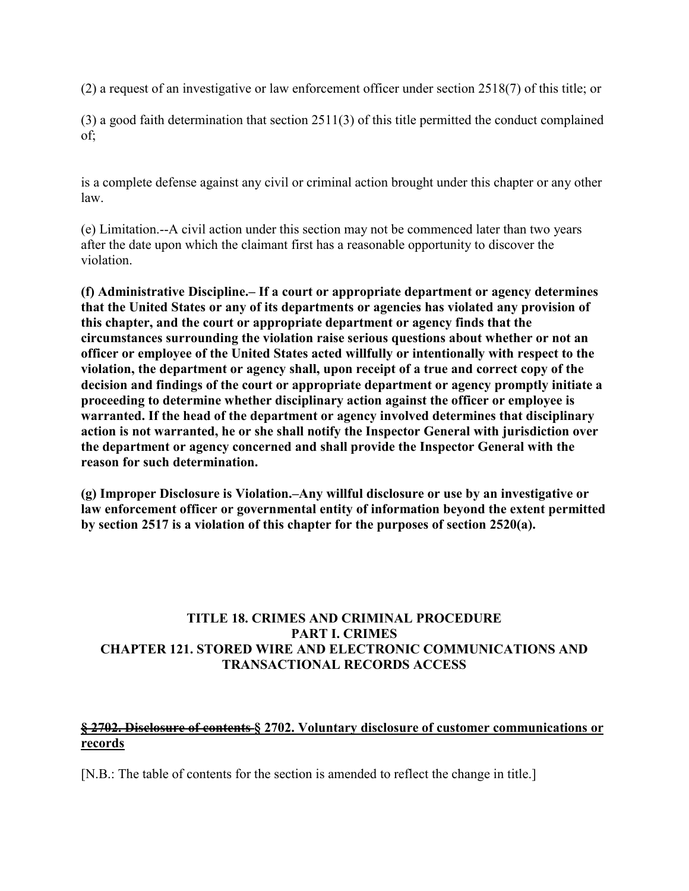(2) a request of an investigative or law enforcement officer under section 2518(7) of this title; or

(3) a good faith determination that section 2511(3) of this title permitted the conduct complained of;

is a complete defense against any civil or criminal action brought under this chapter or any other law.

(e) Limitation.--A civil action under this section may not be commenced later than two years after the date upon which the claimant first has a reasonable opportunity to discover the violation.

**(f) Administrative Discipline.– If a court or appropriate department or agency determines that the United States or any of its departments or agencies has violated any provision of this chapter, and the court or appropriate department or agency finds that the circumstances surrounding the violation raise serious questions about whether or not an officer or employee of the United States acted willfully or intentionally with respect to the violation, the department or agency shall, upon receipt of a true and correct copy of the decision and findings of the court or appropriate department or agency promptly initiate a proceeding to determine whether disciplinary action against the officer or employee is warranted. If the head of the department or agency involved determines that disciplinary action is not warranted, he or she shall notify the Inspector General with jurisdiction over the department or agency concerned and shall provide the Inspector General with the reason for such determination.**

**(g) Improper Disclosure is Violation.–Any willful disclosure or use by an investigative or law enforcement officer or governmental entity of information beyond the extent permitted by section 2517 is a violation of this chapter for the purposes of section 2520(a).**

## **TITLE 18. CRIMES AND CRIMINAL PROCEDURE PART I. CRIMES CHAPTER 121. STORED WIRE AND ELECTRONIC COMMUNICATIONS AND TRANSACTIONAL RECORDS ACCESS**

## **§ 2702. Disclosure of contents § 2702. Voluntary disclosure of customer communications or records**

[N.B.: The table of contents for the section is amended to reflect the change in title.]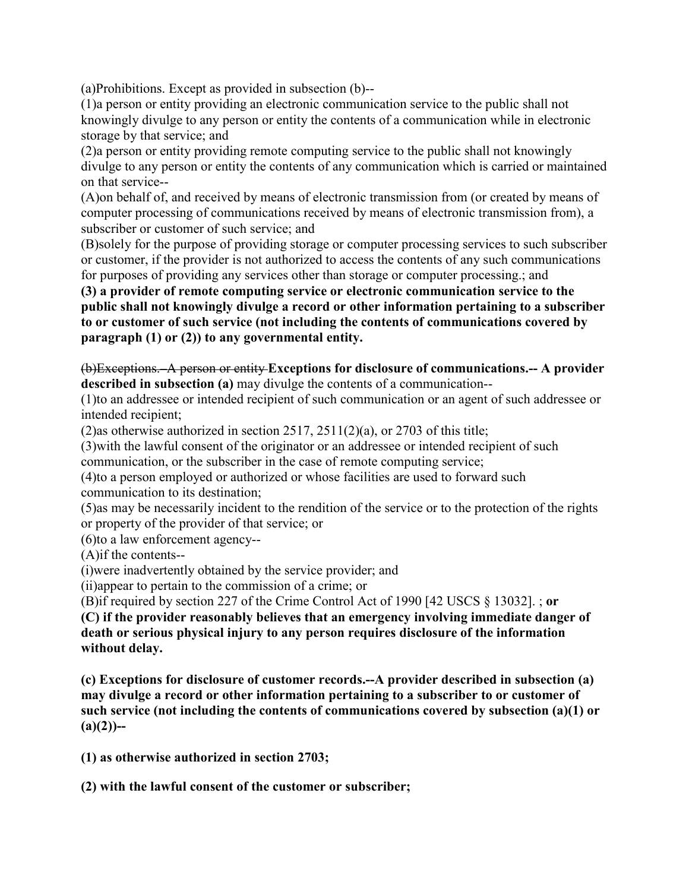(a)Prohibitions. Except as provided in subsection (b)--

(1)a person or entity providing an electronic communication service to the public shall not knowingly divulge to any person or entity the contents of a communication while in electronic storage by that service; and

(2)a person or entity providing remote computing service to the public shall not knowingly divulge to any person or entity the contents of any communication which is carried or maintained on that service--

(A)on behalf of, and received by means of electronic transmission from (or created by means of computer processing of communications received by means of electronic transmission from), a subscriber or customer of such service; and

(B)solely for the purpose of providing storage or computer processing services to such subscriber or customer, if the provider is not authorized to access the contents of any such communications for purposes of providing any services other than storage or computer processing.; and

**(3) a provider of remote computing service or electronic communication service to the public shall not knowingly divulge a record or other information pertaining to a subscriber to or customer of such service (not including the contents of communications covered by paragraph (1) or (2)) to any governmental entity.**

(b)Exceptions.–A person or entity **Exceptions for disclosure of communications.-- A provider described in subsection (a)** may divulge the contents of a communication--

(1)to an addressee or intended recipient of such communication or an agent of such addressee or intended recipient;

(2)as otherwise authorized in section  $2517$ ,  $2511(2)(a)$ , or  $2703$  of this title;

(3)with the lawful consent of the originator or an addressee or intended recipient of such communication, or the subscriber in the case of remote computing service;

(4)to a person employed or authorized or whose facilities are used to forward such communication to its destination;

(5)as may be necessarily incident to the rendition of the service or to the protection of the rights or property of the provider of that service; or

(6)to a law enforcement agency--

(A)if the contents--

(i)were inadvertently obtained by the service provider; and

(ii)appear to pertain to the commission of a crime; or

(B)if required by section 227 of the Crime Control Act of 1990 [42 USCS § 13032]. ; **or** 

**(C) if the provider reasonably believes that an emergency involving immediate danger of death or serious physical injury to any person requires disclosure of the information without delay.**

**(c) Exceptions for disclosure of customer records.--A provider described in subsection (a) may divulge a record or other information pertaining to a subscriber to or customer of such service (not including the contents of communications covered by subsection (a)(1) or (a)(2))--**

**(1) as otherwise authorized in section 2703;** 

**(2) with the lawful consent of the customer or subscriber;**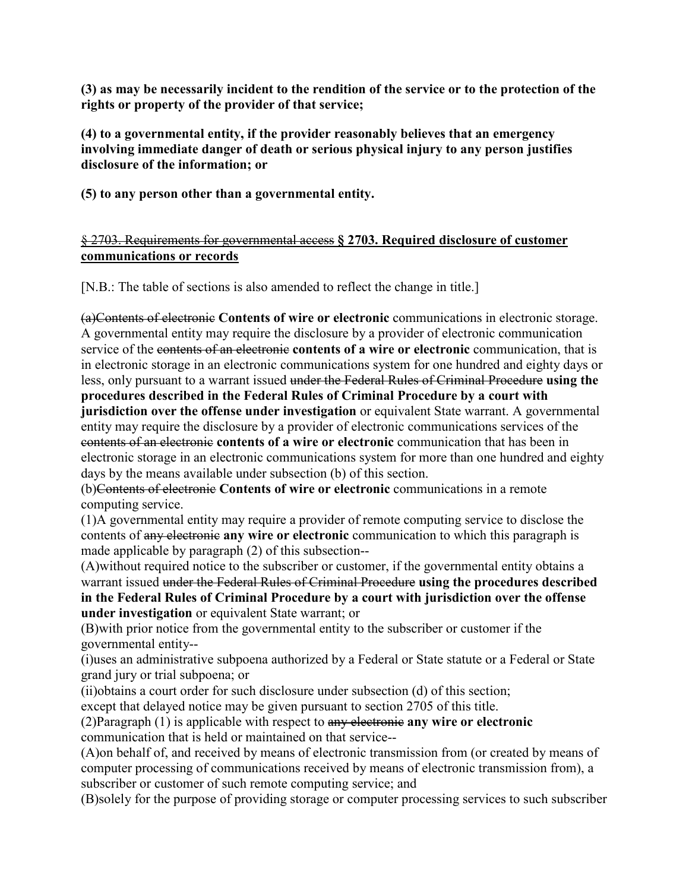**(3) as may be necessarily incident to the rendition of the service or to the protection of the rights or property of the provider of that service;**

**(4) to a governmental entity, if the provider reasonably believes that an emergency involving immediate danger of death or serious physical injury to any person justifies disclosure of the information; or**

**(5) to any person other than a governmental entity.**

### § 2703. Requirements for governmental access **§ 2703. Required disclosure of customer communications or records**

[N.B.: The table of sections is also amended to reflect the change in title.]

(a)Contents of electronic **Contents of wire or electronic** communications in electronic storage. A governmental entity may require the disclosure by a provider of electronic communication service of the contents of an electronic **contents of a wire or electronic** communication, that is in electronic storage in an electronic communications system for one hundred and eighty days or less, only pursuant to a warrant issued under the Federal Rules of Criminal Procedure **using the procedures described in the Federal Rules of Criminal Procedure by a court with jurisdiction over the offense under investigation** or equivalent State warrant. A governmental entity may require the disclosure by a provider of electronic communications services of the contents of an electronic **contents of a wire or electronic** communication that has been in electronic storage in an electronic communications system for more than one hundred and eighty days by the means available under subsection (b) of this section.

(b)Contents of electronic **Contents of wire or electronic** communications in a remote computing service.

(1)A governmental entity may require a provider of remote computing service to disclose the contents of any electronic **any wire or electronic** communication to which this paragraph is made applicable by paragraph (2) of this subsection--

(A)without required notice to the subscriber or customer, if the governmental entity obtains a warrant issued under the Federal Rules of Criminal Procedure **using the procedures described in the Federal Rules of Criminal Procedure by a court with jurisdiction over the offense under investigation** or equivalent State warrant; or

(B)with prior notice from the governmental entity to the subscriber or customer if the governmental entity--

(i)uses an administrative subpoena authorized by a Federal or State statute or a Federal or State grand jury or trial subpoena; or

(ii)obtains a court order for such disclosure under subsection (d) of this section;

except that delayed notice may be given pursuant to section 2705 of this title.

(2)Paragraph (1) is applicable with respect to any electronic **any wire or electronic** communication that is held or maintained on that service--

(A)on behalf of, and received by means of electronic transmission from (or created by means of computer processing of communications received by means of electronic transmission from), a subscriber or customer of such remote computing service; and

(B)solely for the purpose of providing storage or computer processing services to such subscriber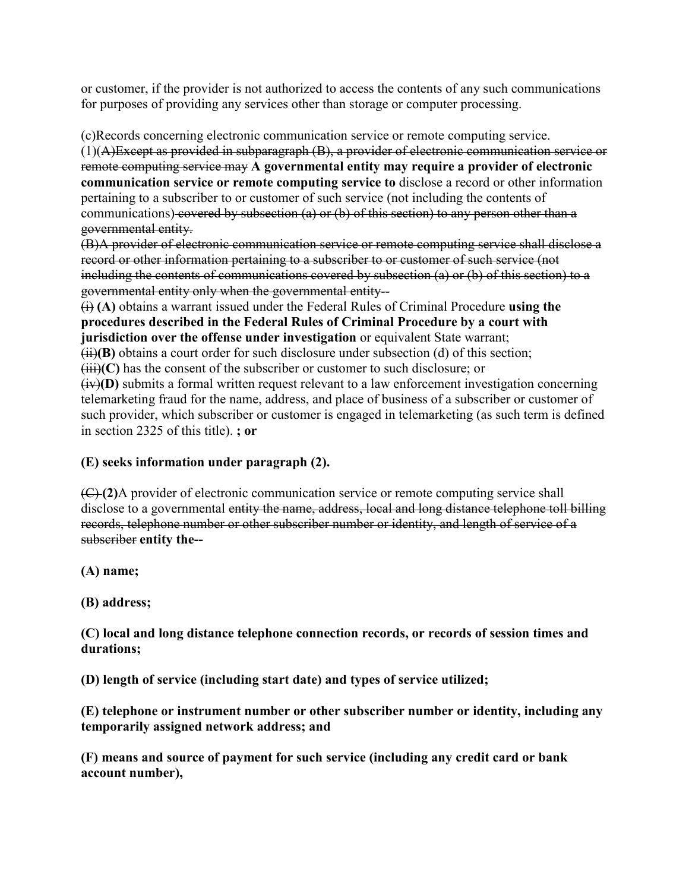or customer, if the provider is not authorized to access the contents of any such communications for purposes of providing any services other than storage or computer processing.

(c)Records concerning electronic communication service or remote computing service. (1)(A)Except as provided in subparagraph (B), a provider of electronic communication service or remote computing service may **A governmental entity may require a provider of electronic communication service or remote computing service to** disclose a record or other information pertaining to a subscriber to or customer of such service (not including the contents of communications) covered by subsection (a) or (b) of this section) to any person other than a governmental entity.

(B)A provider of electronic communication service or remote computing service shall disclose a record or other information pertaining to a subscriber to or customer of such service (not including the contents of communications covered by subsection (a) or (b) of this section) to a governmental entity only when the governmental entity--

(i) **(A)** obtains a warrant issued under the Federal Rules of Criminal Procedure **using the procedures described in the Federal Rules of Criminal Procedure by a court with jurisdiction over the offense under investigation** or equivalent State warrant;

 $(ii)(B)$  obtains a court order for such disclosure under subsection (d) of this section;  $(iii)(C)$  has the consent of the subscriber or customer to such disclosure; or

(iv)**(D)** submits a formal written request relevant to a law enforcement investigation concerning telemarketing fraud for the name, address, and place of business of a subscriber or customer of such provider, which subscriber or customer is engaged in telemarketing (as such term is defined in section 2325 of this title). **; or**

## **(E) seeks information under paragraph (2).**

(C) **(2)**A provider of electronic communication service or remote computing service shall disclose to a governmental entity the name, address, local and long distance telephone toll billing records, telephone number or other subscriber number or identity, and length of service of a subscriber **entity the--**

**(A) name;**

**(B) address;**

**(C) local and long distance telephone connection records, or records of session times and durations;**

**(D) length of service (including start date) and types of service utilized;**

**(E) telephone or instrument number or other subscriber number or identity, including any temporarily assigned network address; and**

**(F) means and source of payment for such service (including any credit card or bank account number),**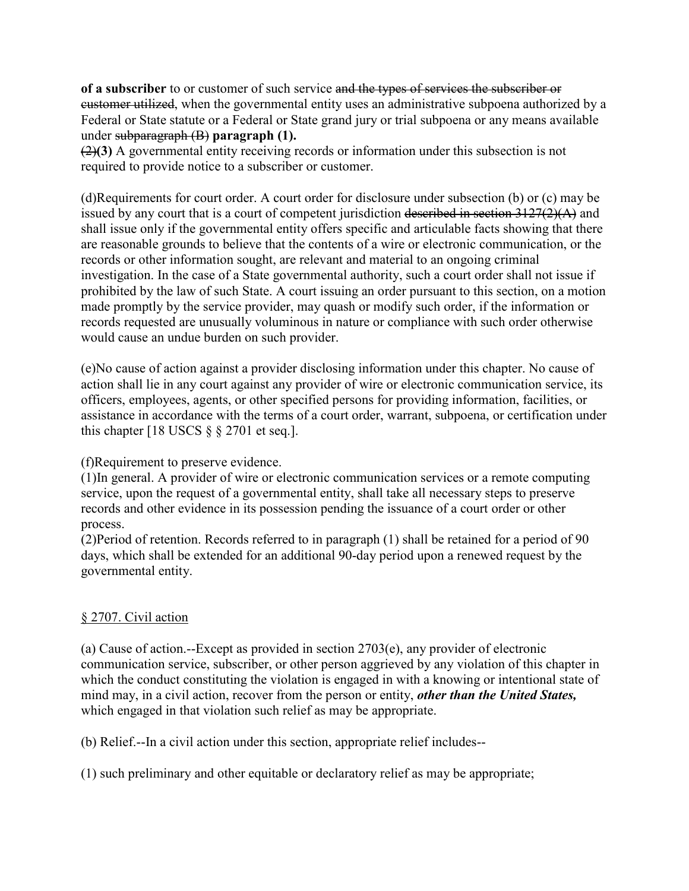**of a subscriber** to or customer of such service and the types of services the subscriber or customer utilized, when the governmental entity uses an administrative subpoena authorized by a Federal or State statute or a Federal or State grand jury or trial subpoena or any means available under subparagraph (B) **paragraph (1).**

(2)**(3)** A governmental entity receiving records or information under this subsection is not required to provide notice to a subscriber or customer.

(d)Requirements for court order. A court order for disclosure under subsection (b) or (c) may be issued by any court that is a court of competent jurisdiction described in section  $3127(2)(A)$  and shall issue only if the governmental entity offers specific and articulable facts showing that there are reasonable grounds to believe that the contents of a wire or electronic communication, or the records or other information sought, are relevant and material to an ongoing criminal investigation. In the case of a State governmental authority, such a court order shall not issue if prohibited by the law of such State. A court issuing an order pursuant to this section, on a motion made promptly by the service provider, may quash or modify such order, if the information or records requested are unusually voluminous in nature or compliance with such order otherwise would cause an undue burden on such provider.

(e)No cause of action against a provider disclosing information under this chapter. No cause of action shall lie in any court against any provider of wire or electronic communication service, its officers, employees, agents, or other specified persons for providing information, facilities, or assistance in accordance with the terms of a court order, warrant, subpoena, or certification under this chapter [18 USCS  $\S$   $\S$   $\S$  2701 et seq.].

(f)Requirement to preserve evidence.

(1)In general. A provider of wire or electronic communication services or a remote computing service, upon the request of a governmental entity, shall take all necessary steps to preserve records and other evidence in its possession pending the issuance of a court order or other process.

(2)Period of retention. Records referred to in paragraph (1) shall be retained for a period of 90 days, which shall be extended for an additional 90-day period upon a renewed request by the governmental entity.

## § 2707. Civil action

(a) Cause of action.--Except as provided in section 2703(e), any provider of electronic communication service, subscriber, or other person aggrieved by any violation of this chapter in which the conduct constituting the violation is engaged in with a knowing or intentional state of mind may, in a civil action, recover from the person or entity, *other than the United States,* which engaged in that violation such relief as may be appropriate.

(b) Relief.--In a civil action under this section, appropriate relief includes--

(1) such preliminary and other equitable or declaratory relief as may be appropriate;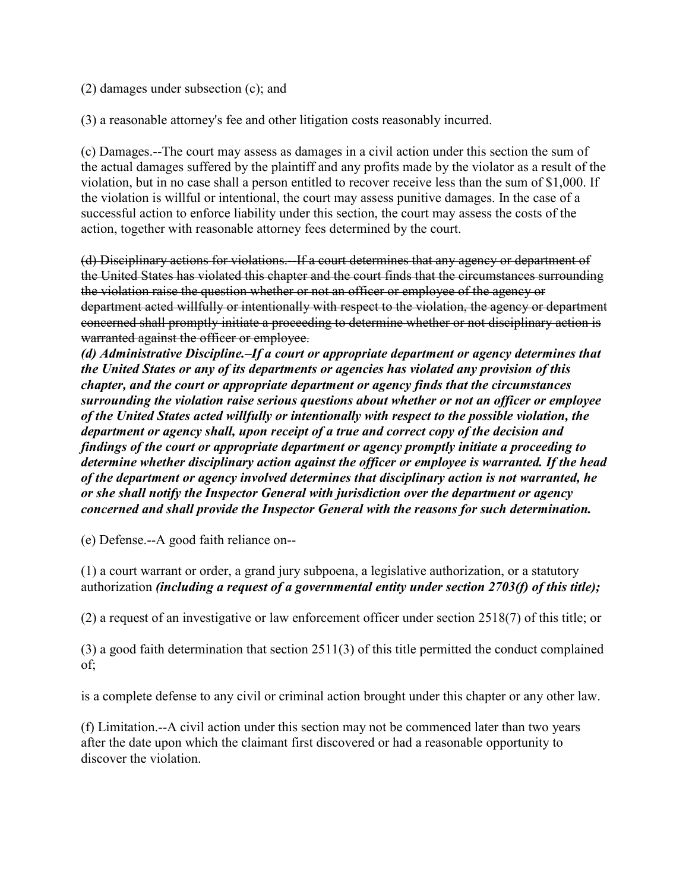(2) damages under subsection (c); and

(3) a reasonable attorney's fee and other litigation costs reasonably incurred.

(c) Damages.--The court may assess as damages in a civil action under this section the sum of the actual damages suffered by the plaintiff and any profits made by the violator as a result of the violation, but in no case shall a person entitled to recover receive less than the sum of \$1,000. If the violation is willful or intentional, the court may assess punitive damages. In the case of a successful action to enforce liability under this section, the court may assess the costs of the action, together with reasonable attorney fees determined by the court.

(d) Disciplinary actions for violations.--If a court determines that any agency or department of the United States has violated this chapter and the court finds that the circumstances surrounding the violation raise the question whether or not an officer or employee of the agency or department acted willfully or intentionally with respect to the violation, the agency or department concerned shall promptly initiate a proceeding to determine whether or not disciplinary action is warranted against the officer or employee.

*(d) Administrative Discipline.–If a court or appropriate department or agency determines that the United States or any of its departments or agencies has violated any provision of this chapter, and the court or appropriate department or agency finds that the circumstances surrounding the violation raise serious questions about whether or not an officer or employee of the United States acted willfully or intentionally with respect to the possible violation, the department or agency shall, upon receipt of a true and correct copy of the decision and findings of the court or appropriate department or agency promptly initiate a proceeding to determine whether disciplinary action against the officer or employee is warranted. If the head of the department or agency involved determines that disciplinary action is not warranted, he or she shall notify the Inspector General with jurisdiction over the department or agency concerned and shall provide the Inspector General with the reasons for such determination.*

(e) Defense.--A good faith reliance on--

(1) a court warrant or order, a grand jury subpoena, a legislative authorization, or a statutory authorization *(including a request of a governmental entity under section 2703(f) of this title);*

(2) a request of an investigative or law enforcement officer under section 2518(7) of this title; or

(3) a good faith determination that section 2511(3) of this title permitted the conduct complained of;

is a complete defense to any civil or criminal action brought under this chapter or any other law.

(f) Limitation.--A civil action under this section may not be commenced later than two years after the date upon which the claimant first discovered or had a reasonable opportunity to discover the violation.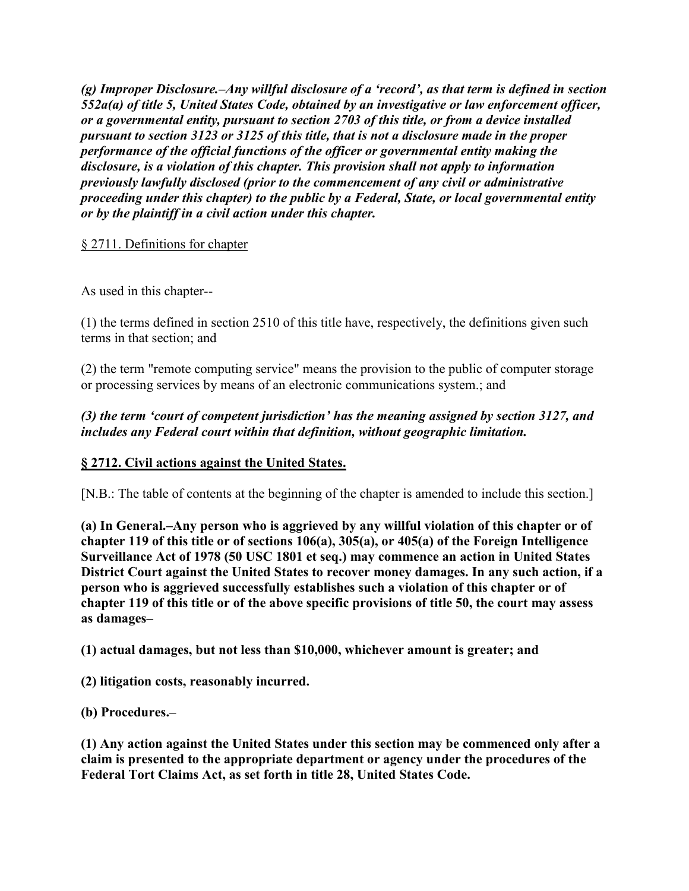*(g) Improper Disclosure.–Any willful disclosure of a 'record', as that term is defined in section 552a(a) of title 5, United States Code, obtained by an investigative or law enforcement officer, or a governmental entity, pursuant to section 2703 of this title, or from a device installed pursuant to section 3123 or 3125 of this title, that is not a disclosure made in the proper performance of the official functions of the officer or governmental entity making the disclosure, is a violation of this chapter. This provision shall not apply to information previously lawfully disclosed (prior to the commencement of any civil or administrative proceeding under this chapter) to the public by a Federal, State, or local governmental entity or by the plaintiff in a civil action under this chapter.*

## § 2711. Definitions for chapter

As used in this chapter--

(1) the terms defined in section 2510 of this title have, respectively, the definitions given such terms in that section; and

(2) the term "remote computing service" means the provision to the public of computer storage or processing services by means of an electronic communications system.; and

## *(3) the term 'court of competent jurisdiction' has the meaning assigned by section 3127, and includes any Federal court within that definition, without geographic limitation.*

### **§ 2712. Civil actions against the United States.**

[N.B.: The table of contents at the beginning of the chapter is amended to include this section.]

**(a) In General.–Any person who is aggrieved by any willful violation of this chapter or of chapter 119 of this title or of sections 106(a), 305(a), or 405(a) of the Foreign Intelligence Surveillance Act of 1978 (50 USC 1801 et seq.) may commence an action in United States District Court against the United States to recover money damages. In any such action, if a person who is aggrieved successfully establishes such a violation of this chapter or of chapter 119 of this title or of the above specific provisions of title 50, the court may assess as damages–**

**(1) actual damages, but not less than \$10,000, whichever amount is greater; and**

**(2) litigation costs, reasonably incurred.**

**(b) Procedures.–** 

**(1) Any action against the United States under this section may be commenced only after a claim is presented to the appropriate department or agency under the procedures of the Federal Tort Claims Act, as set forth in title 28, United States Code.**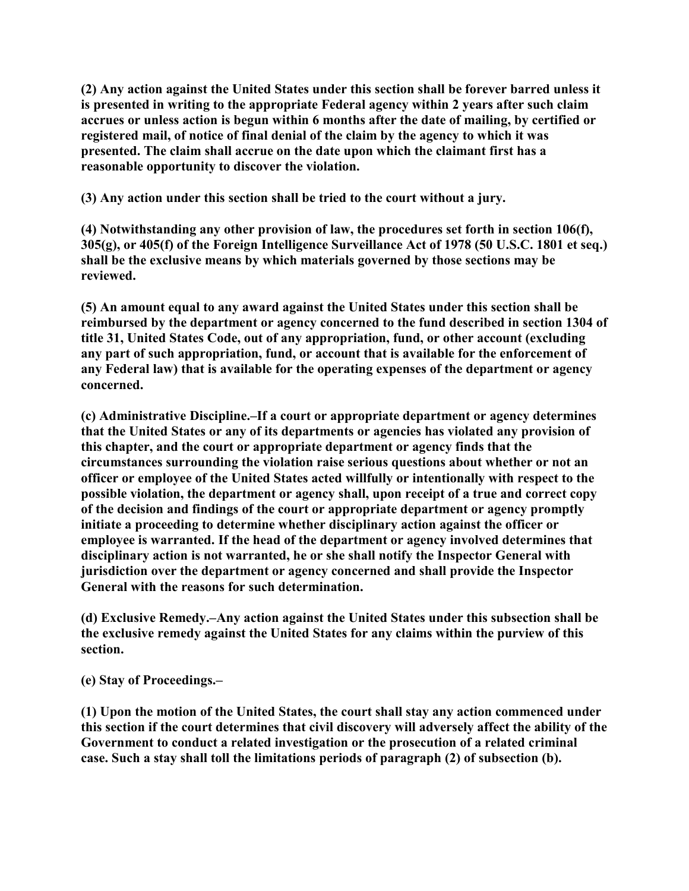**(2) Any action against the United States under this section shall be forever barred unless it is presented in writing to the appropriate Federal agency within 2 years after such claim accrues or unless action is begun within 6 months after the date of mailing, by certified or registered mail, of notice of final denial of the claim by the agency to which it was presented. The claim shall accrue on the date upon which the claimant first has a reasonable opportunity to discover the violation.**

**(3) Any action under this section shall be tried to the court without a jury.**

**(4) Notwithstanding any other provision of law, the procedures set forth in section 106(f), 305(g), or 405(f) of the Foreign Intelligence Surveillance Act of 1978 (50 U.S.C. 1801 et seq.) shall be the exclusive means by which materials governed by those sections may be reviewed.**

**(5) An amount equal to any award against the United States under this section shall be reimbursed by the department or agency concerned to the fund described in section 1304 of title 31, United States Code, out of any appropriation, fund, or other account (excluding any part of such appropriation, fund, or account that is available for the enforcement of any Federal law) that is available for the operating expenses of the department or agency concerned.**

**(c) Administrative Discipline.–If a court or appropriate department or agency determines that the United States or any of its departments or agencies has violated any provision of this chapter, and the court or appropriate department or agency finds that the circumstances surrounding the violation raise serious questions about whether or not an officer or employee of the United States acted willfully or intentionally with respect to the possible violation, the department or agency shall, upon receipt of a true and correct copy of the decision and findings of the court or appropriate department or agency promptly initiate a proceeding to determine whether disciplinary action against the officer or employee is warranted. If the head of the department or agency involved determines that disciplinary action is not warranted, he or she shall notify the Inspector General with jurisdiction over the department or agency concerned and shall provide the Inspector General with the reasons for such determination.**

**(d) Exclusive Remedy.–Any action against the United States under this subsection shall be the exclusive remedy against the United States for any claims within the purview of this section.** 

**(e) Stay of Proceedings.–**

**(1) Upon the motion of the United States, the court shall stay any action commenced under this section if the court determines that civil discovery will adversely affect the ability of the Government to conduct a related investigation or the prosecution of a related criminal case. Such a stay shall toll the limitations periods of paragraph (2) of subsection (b).**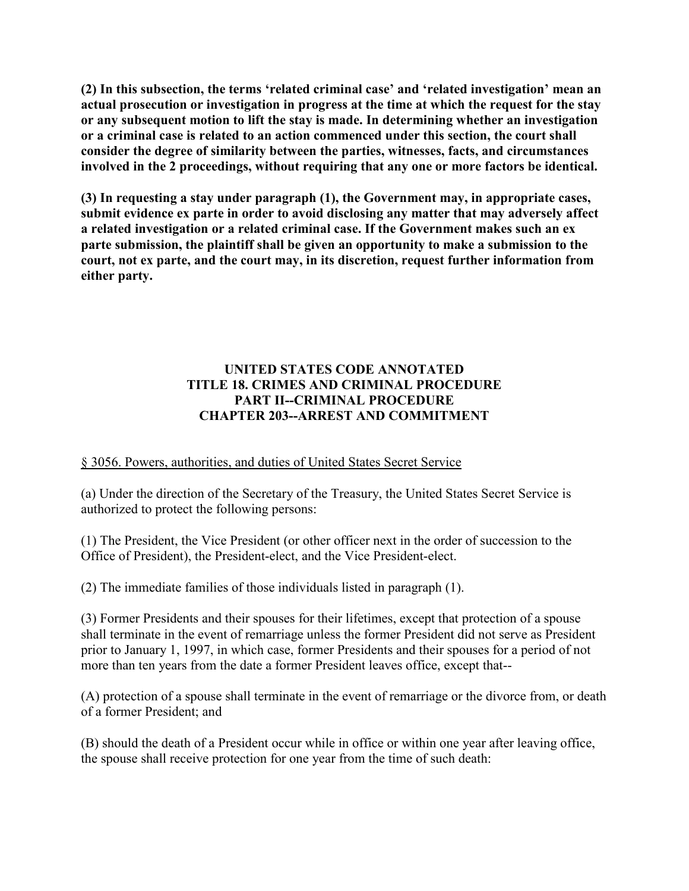**(2) In this subsection, the terms 'related criminal case' and 'related investigation' mean an actual prosecution or investigation in progress at the time at which the request for the stay or any subsequent motion to lift the stay is made. In determining whether an investigation or a criminal case is related to an action commenced under this section, the court shall consider the degree of similarity between the parties, witnesses, facts, and circumstances involved in the 2 proceedings, without requiring that any one or more factors be identical.**

**(3) In requesting a stay under paragraph (1), the Government may, in appropriate cases, submit evidence ex parte in order to avoid disclosing any matter that may adversely affect a related investigation or a related criminal case. If the Government makes such an ex parte submission, the plaintiff shall be given an opportunity to make a submission to the court, not ex parte, and the court may, in its discretion, request further information from either party.**

## **UNITED STATES CODE ANNOTATED TITLE 18. CRIMES AND CRIMINAL PROCEDURE PART II--CRIMINAL PROCEDURE CHAPTER 203--ARREST AND COMMITMENT**

### § 3056. Powers, authorities, and duties of United States Secret Service

(a) Under the direction of the Secretary of the Treasury, the United States Secret Service is authorized to protect the following persons:

(1) The President, the Vice President (or other officer next in the order of succession to the Office of President), the President-elect, and the Vice President-elect.

(2) The immediate families of those individuals listed in paragraph (1).

(3) Former Presidents and their spouses for their lifetimes, except that protection of a spouse shall terminate in the event of remarriage unless the former President did not serve as President prior to January 1, 1997, in which case, former Presidents and their spouses for a period of not more than ten years from the date a former President leaves office, except that--

(A) protection of a spouse shall terminate in the event of remarriage or the divorce from, or death of a former President; and

(B) should the death of a President occur while in office or within one year after leaving office, the spouse shall receive protection for one year from the time of such death: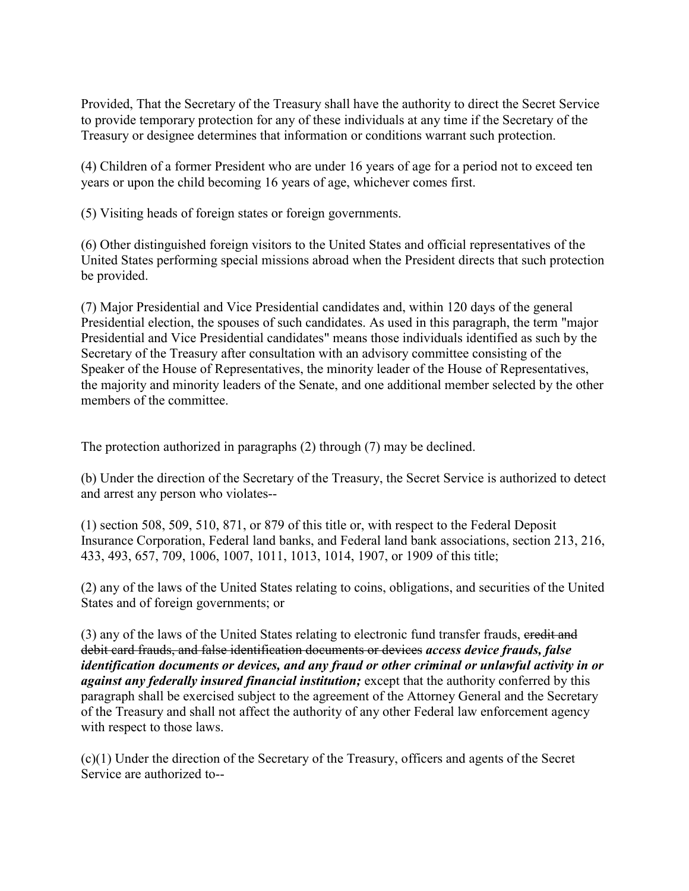Provided, That the Secretary of the Treasury shall have the authority to direct the Secret Service to provide temporary protection for any of these individuals at any time if the Secretary of the Treasury or designee determines that information or conditions warrant such protection.

(4) Children of a former President who are under 16 years of age for a period not to exceed ten years or upon the child becoming 16 years of age, whichever comes first.

(5) Visiting heads of foreign states or foreign governments.

(6) Other distinguished foreign visitors to the United States and official representatives of the United States performing special missions abroad when the President directs that such protection be provided.

(7) Major Presidential and Vice Presidential candidates and, within 120 days of the general Presidential election, the spouses of such candidates. As used in this paragraph, the term "major Presidential and Vice Presidential candidates" means those individuals identified as such by the Secretary of the Treasury after consultation with an advisory committee consisting of the Speaker of the House of Representatives, the minority leader of the House of Representatives, the majority and minority leaders of the Senate, and one additional member selected by the other members of the committee.

The protection authorized in paragraphs (2) through (7) may be declined.

(b) Under the direction of the Secretary of the Treasury, the Secret Service is authorized to detect and arrest any person who violates--

(1) section 508, 509, 510, 871, or 879 of this title or, with respect to the Federal Deposit Insurance Corporation, Federal land banks, and Federal land bank associations, section 213, 216, 433, 493, 657, 709, 1006, 1007, 1011, 1013, 1014, 1907, or 1909 of this title;

(2) any of the laws of the United States relating to coins, obligations, and securities of the United States and of foreign governments; or

(3) any of the laws of the United States relating to electronic fund transfer frauds, eredit and debit card frauds, and false identification documents or devices *access device frauds, false identification documents or devices, and any fraud or other criminal or unlawful activity in or against any federally insured financial institution;* except that the authority conferred by this paragraph shall be exercised subject to the agreement of the Attorney General and the Secretary of the Treasury and shall not affect the authority of any other Federal law enforcement agency with respect to those laws.

(c)(1) Under the direction of the Secretary of the Treasury, officers and agents of the Secret Service are authorized to--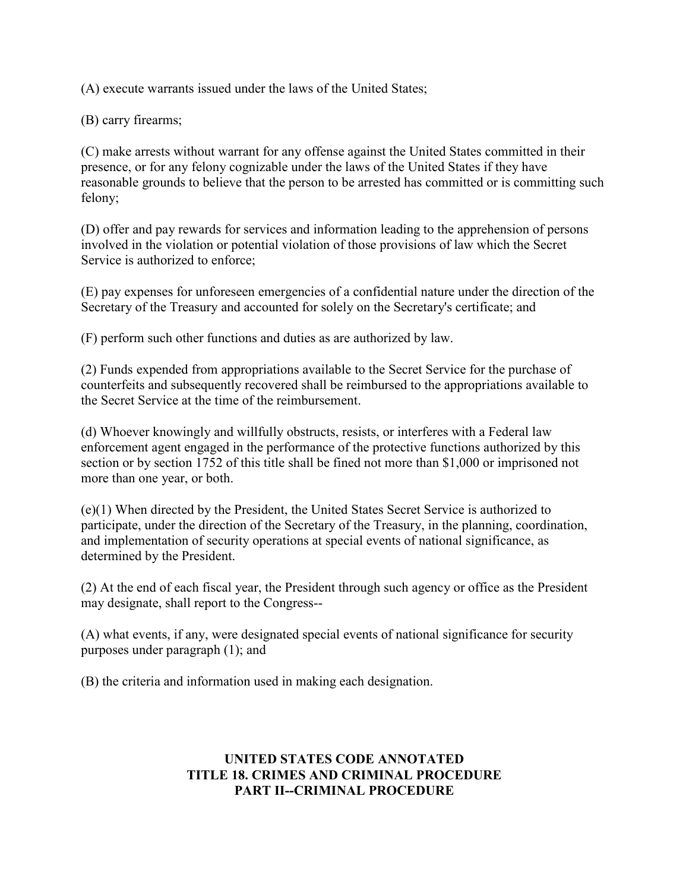(A) execute warrants issued under the laws of the United States;

(B) carry firearms;

(C) make arrests without warrant for any offense against the United States committed in their presence, or for any felony cognizable under the laws of the United States if they have reasonable grounds to believe that the person to be arrested has committed or is committing such felony;

(D) offer and pay rewards for services and information leading to the apprehension of persons involved in the violation or potential violation of those provisions of law which the Secret Service is authorized to enforce;

(E) pay expenses for unforeseen emergencies of a confidential nature under the direction of the Secretary of the Treasury and accounted for solely on the Secretary's certificate; and

(F) perform such other functions and duties as are authorized by law.

(2) Funds expended from appropriations available to the Secret Service for the purchase of counterfeits and subsequently recovered shall be reimbursed to the appropriations available to the Secret Service at the time of the reimbursement.

(d) Whoever knowingly and willfully obstructs, resists, or interferes with a Federal law enforcement agent engaged in the performance of the protective functions authorized by this section or by section 1752 of this title shall be fined not more than \$1,000 or imprisoned not more than one year, or both.

(e)(1) When directed by the President, the United States Secret Service is authorized to participate, under the direction of the Secretary of the Treasury, in the planning, coordination, and implementation of security operations at special events of national significance, as determined by the President.

(2) At the end of each fiscal year, the President through such agency or office as the President may designate, shall report to the Congress--

(A) what events, if any, were designated special events of national significance for security purposes under paragraph (1); and

(B) the criteria and information used in making each designation.

## **UNITED STATES CODE ANNOTATED TITLE 18. CRIMES AND CRIMINAL PROCEDURE PART II--CRIMINAL PROCEDURE**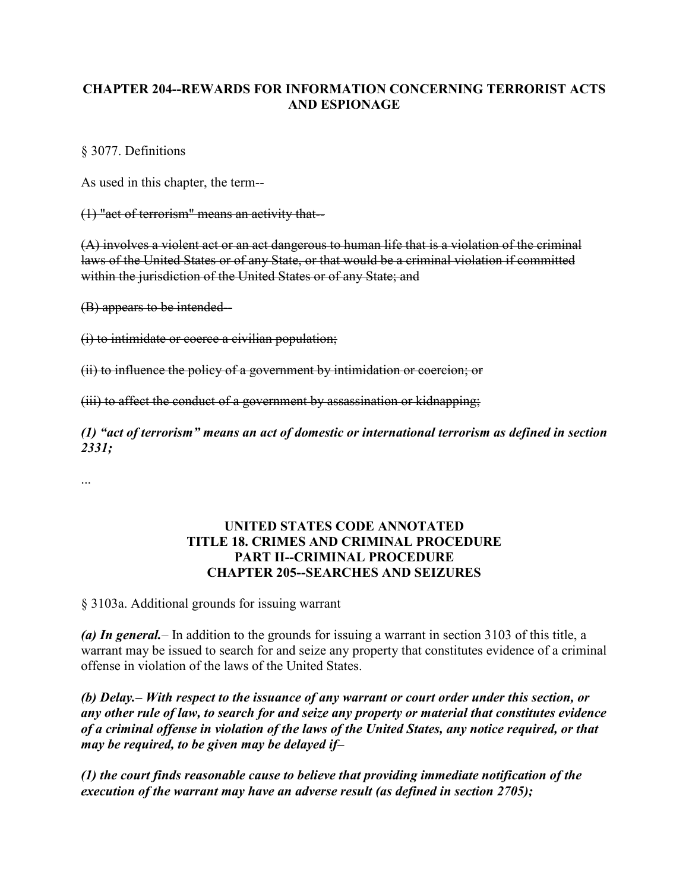### **CHAPTER 204--REWARDS FOR INFORMATION CONCERNING TERRORIST ACTS AND ESPIONAGE**

§ 3077. Definitions

As used in this chapter, the term--

(1) "act of terrorism" means an activity that--

(A) involves a violent act or an act dangerous to human life that is a violation of the criminal laws of the United States or of any State, or that would be a criminal violation if committed within the jurisdiction of the United States or of any State; and

(B) appears to be intended--

(i) to intimidate or coerce a civilian population;

(ii) to influence the policy of a government by intimidation or coercion; or

(iii) to affect the conduct of a government by assassination or kidnapping;

*(1) "act of terrorism" means an act of domestic or international terrorism as defined in section 2331;*

...

#### **UNITED STATES CODE ANNOTATED TITLE 18. CRIMES AND CRIMINAL PROCEDURE PART II--CRIMINAL PROCEDURE CHAPTER 205--SEARCHES AND SEIZURES**

§ 3103a. Additional grounds for issuing warrant

*(a) In general.*– In addition to the grounds for issuing a warrant in section 3103 of this title, a warrant may be issued to search for and seize any property that constitutes evidence of a criminal offense in violation of the laws of the United States.

*(b) Delay.– With respect to the issuance of any warrant or court order under this section, or any other rule of law, to search for and seize any property or material that constitutes evidence of a criminal offense in violation of the laws of the United States, any notice required, or that may be required, to be given may be delayed if–*

*(1) the court finds reasonable cause to believe that providing immediate notification of the execution of the warrant may have an adverse result (as defined in section 2705);*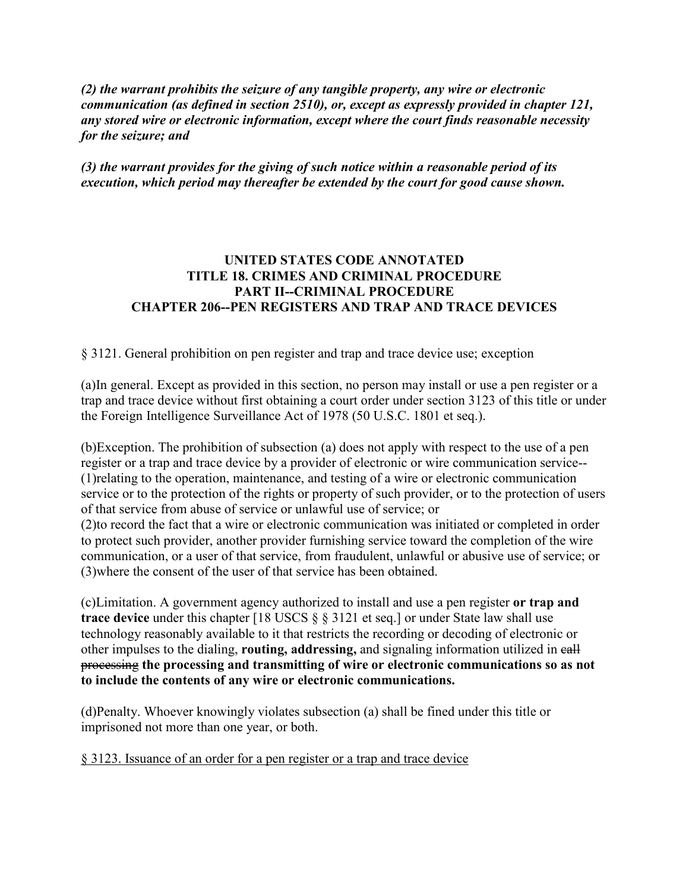*(2) the warrant prohibits the seizure of any tangible property, any wire or electronic communication (as defined in section 2510), or, except as expressly provided in chapter 121, any stored wire or electronic information, except where the court finds reasonable necessity for the seizure; and*

*(3) the warrant provides for the giving of such notice within a reasonable period of its execution, which period may thereafter be extended by the court for good cause shown.*

### **UNITED STATES CODE ANNOTATED TITLE 18. CRIMES AND CRIMINAL PROCEDURE PART II--CRIMINAL PROCEDURE CHAPTER 206--PEN REGISTERS AND TRAP AND TRACE DEVICES**

§ 3121. General prohibition on pen register and trap and trace device use; exception

(a)In general. Except as provided in this section, no person may install or use a pen register or a trap and trace device without first obtaining a court order under section 3123 of this title or under the Foreign Intelligence Surveillance Act of 1978 (50 U.S.C. 1801 et seq.).

(b)Exception. The prohibition of subsection (a) does not apply with respect to the use of a pen register or a trap and trace device by a provider of electronic or wire communication service-- (1)relating to the operation, maintenance, and testing of a wire or electronic communication service or to the protection of the rights or property of such provider, or to the protection of users of that service from abuse of service or unlawful use of service; or

(2)to record the fact that a wire or electronic communication was initiated or completed in order to protect such provider, another provider furnishing service toward the completion of the wire communication, or a user of that service, from fraudulent, unlawful or abusive use of service; or (3)where the consent of the user of that service has been obtained.

(c)Limitation. A government agency authorized to install and use a pen register **or trap and trace device** under this chapter [18 USCS § § 3121 et seq.] or under State law shall use technology reasonably available to it that restricts the recording or decoding of electronic or other impulses to the dialing, **routing, addressing,** and signaling information utilized in call processing **the processing and transmitting of wire or electronic communications so as not to include the contents of any wire or electronic communications.**

(d)Penalty. Whoever knowingly violates subsection (a) shall be fined under this title or imprisoned not more than one year, or both.

§ 3123. Issuance of an order for a pen register or a trap and trace device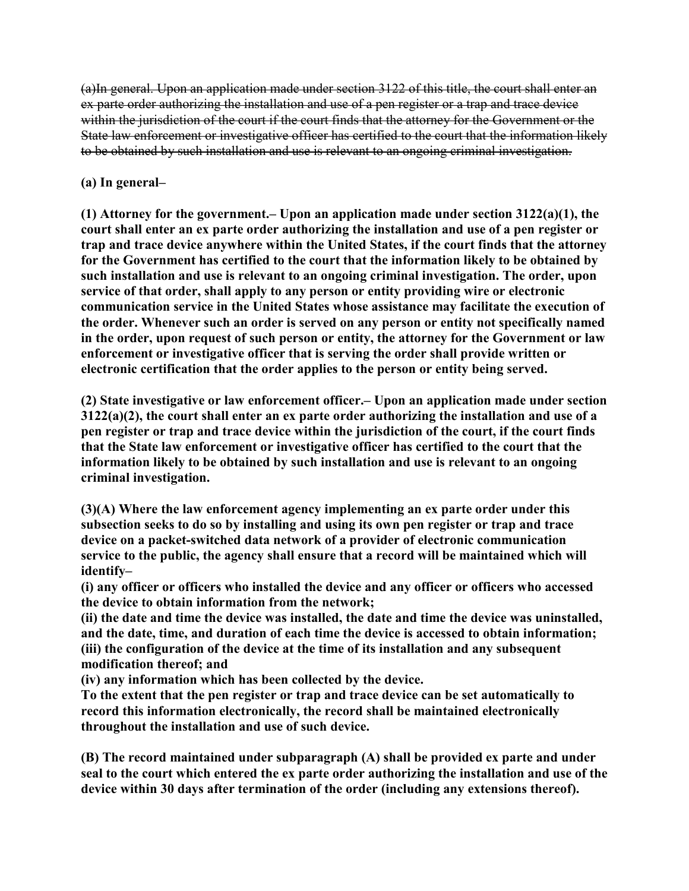(a)In general. Upon an application made under section 3122 of this title, the court shall enter an ex parte order authorizing the installation and use of a pen register or a trap and trace device within the jurisdiction of the court if the court finds that the attorney for the Government or the State law enforcement or investigative officer has certified to the court that the information likely to be obtained by such installation and use is relevant to an ongoing criminal investigation.

### **(a) In general–**

**(1) Attorney for the government.– Upon an application made under section 3122(a)(1), the court shall enter an ex parte order authorizing the installation and use of a pen register or trap and trace device anywhere within the United States, if the court finds that the attorney for the Government has certified to the court that the information likely to be obtained by such installation and use is relevant to an ongoing criminal investigation. The order, upon service of that order, shall apply to any person or entity providing wire or electronic communication service in the United States whose assistance may facilitate the execution of the order. Whenever such an order is served on any person or entity not specifically named in the order, upon request of such person or entity, the attorney for the Government or law enforcement or investigative officer that is serving the order shall provide written or electronic certification that the order applies to the person or entity being served.**

**(2) State investigative or law enforcement officer.– Upon an application made under section 3122(a)(2), the court shall enter an ex parte order authorizing the installation and use of a pen register or trap and trace device within the jurisdiction of the court, if the court finds that the State law enforcement or investigative officer has certified to the court that the information likely to be obtained by such installation and use is relevant to an ongoing criminal investigation.**

**(3)(A) Where the law enforcement agency implementing an ex parte order under this subsection seeks to do so by installing and using its own pen register or trap and trace device on a packet-switched data network of a provider of electronic communication service to the public, the agency shall ensure that a record will be maintained which will identify–** 

**(i) any officer or officers who installed the device and any officer or officers who accessed the device to obtain information from the network;** 

**(ii) the date and time the device was installed, the date and time the device was uninstalled, and the date, time, and duration of each time the device is accessed to obtain information; (iii) the configuration of the device at the time of its installation and any subsequent modification thereof; and** 

**(iv) any information which has been collected by the device.** 

**To the extent that the pen register or trap and trace device can be set automatically to record this information electronically, the record shall be maintained electronically throughout the installation and use of such device.**

**(B) The record maintained under subparagraph (A) shall be provided ex parte and under seal to the court which entered the ex parte order authorizing the installation and use of the device within 30 days after termination of the order (including any extensions thereof).**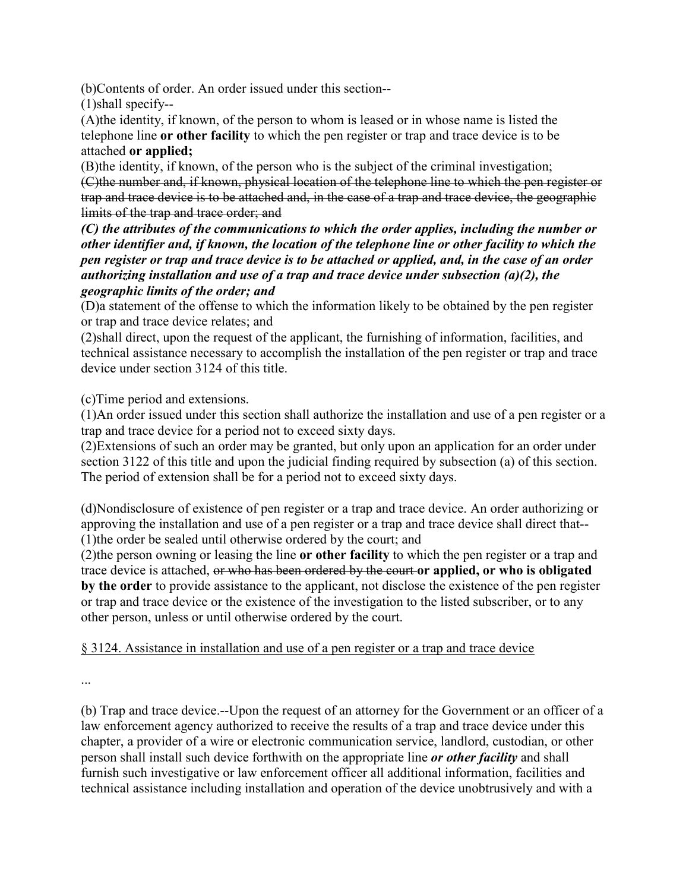(b)Contents of order. An order issued under this section--

(1)shall specify--

(A)the identity, if known, of the person to whom is leased or in whose name is listed the telephone line **or other facility** to which the pen register or trap and trace device is to be attached **or applied;**

(B)the identity, if known, of the person who is the subject of the criminal investigation; (C)the number and, if known, physical location of the telephone line to which the pen register or trap and trace device is to be attached and, in the case of a trap and trace device, the geographic limits of the trap and trace order; and

*(C) the attributes of the communications to which the order applies, including the number or other identifier and, if known, the location of the telephone line or other facility to which the pen register or trap and trace device is to be attached or applied, and, in the case of an order authorizing installation and use of a trap and trace device under subsection (a)(2), the geographic limits of the order; and*

(D)a statement of the offense to which the information likely to be obtained by the pen register or trap and trace device relates; and

(2)shall direct, upon the request of the applicant, the furnishing of information, facilities, and technical assistance necessary to accomplish the installation of the pen register or trap and trace device under section 3124 of this title.

(c)Time period and extensions.

(1)An order issued under this section shall authorize the installation and use of a pen register or a trap and trace device for a period not to exceed sixty days.

(2)Extensions of such an order may be granted, but only upon an application for an order under section 3122 of this title and upon the judicial finding required by subsection (a) of this section. The period of extension shall be for a period not to exceed sixty days.

(d)Nondisclosure of existence of pen register or a trap and trace device. An order authorizing or approving the installation and use of a pen register or a trap and trace device shall direct that-- (1)the order be sealed until otherwise ordered by the court; and

(2)the person owning or leasing the line **or other facility** to which the pen register or a trap and trace device is attached, or who has been ordered by the court **or applied, or who is obligated by the order** to provide assistance to the applicant, not disclose the existence of the pen register or trap and trace device or the existence of the investigation to the listed subscriber, or to any other person, unless or until otherwise ordered by the court.

# § 3124. Assistance in installation and use of a pen register or a trap and trace device

...

(b) Trap and trace device.--Upon the request of an attorney for the Government or an officer of a law enforcement agency authorized to receive the results of a trap and trace device under this chapter, a provider of a wire or electronic communication service, landlord, custodian, or other person shall install such device forthwith on the appropriate line *or other facility* and shall furnish such investigative or law enforcement officer all additional information, facilities and technical assistance including installation and operation of the device unobtrusively and with a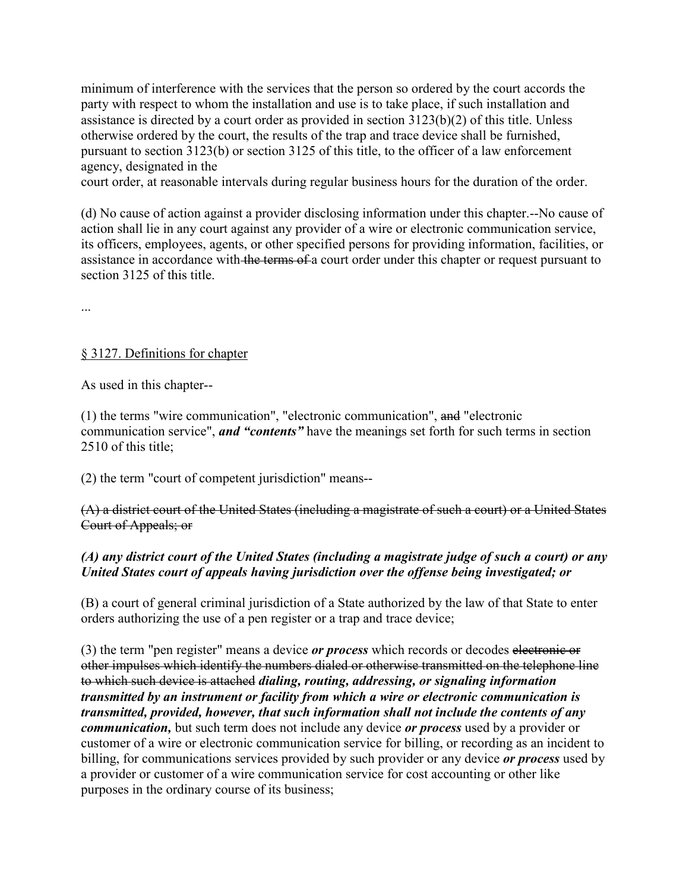minimum of interference with the services that the person so ordered by the court accords the party with respect to whom the installation and use is to take place, if such installation and assistance is directed by a court order as provided in section 3123(b)(2) of this title. Unless otherwise ordered by the court, the results of the trap and trace device shall be furnished, pursuant to section 3123(b) or section 3125 of this title, to the officer of a law enforcement agency, designated in the

court order, at reasonable intervals during regular business hours for the duration of the order.

(d) No cause of action against a provider disclosing information under this chapter.--No cause of action shall lie in any court against any provider of a wire or electronic communication service, its officers, employees, agents, or other specified persons for providing information, facilities, or assistance in accordance with the terms of a court order under this chapter or request pursuant to section 3125 of this title.

...

### § 3127. Definitions for chapter

As used in this chapter--

(1) the terms "wire communication", "electronic communication", and "electronic communication service", *and "contents"* have the meanings set forth for such terms in section 2510 of this title;

(2) the term "court of competent jurisdiction" means--

(A) a district court of the United States (including a magistrate of such a court) or a United States Court of Appeals; or

### *(A) any district court of the United States (including a magistrate judge of such a court) or any United States court of appeals having jurisdiction over the offense being investigated; or*

(B) a court of general criminal jurisdiction of a State authorized by the law of that State to enter orders authorizing the use of a pen register or a trap and trace device;

(3) the term "pen register" means a device *or process* which records or decodes electronic or other impulses which identify the numbers dialed or otherwise transmitted on the telephone line to which such device is attached *dialing, routing, addressing, or signaling information transmitted by an instrument or facility from which a wire or electronic communication is transmitted, provided, however, that such information shall not include the contents of any communication,* but such term does not include any device *or process* used by a provider or customer of a wire or electronic communication service for billing, or recording as an incident to billing, for communications services provided by such provider or any device *or process* used by a provider or customer of a wire communication service for cost accounting or other like purposes in the ordinary course of its business;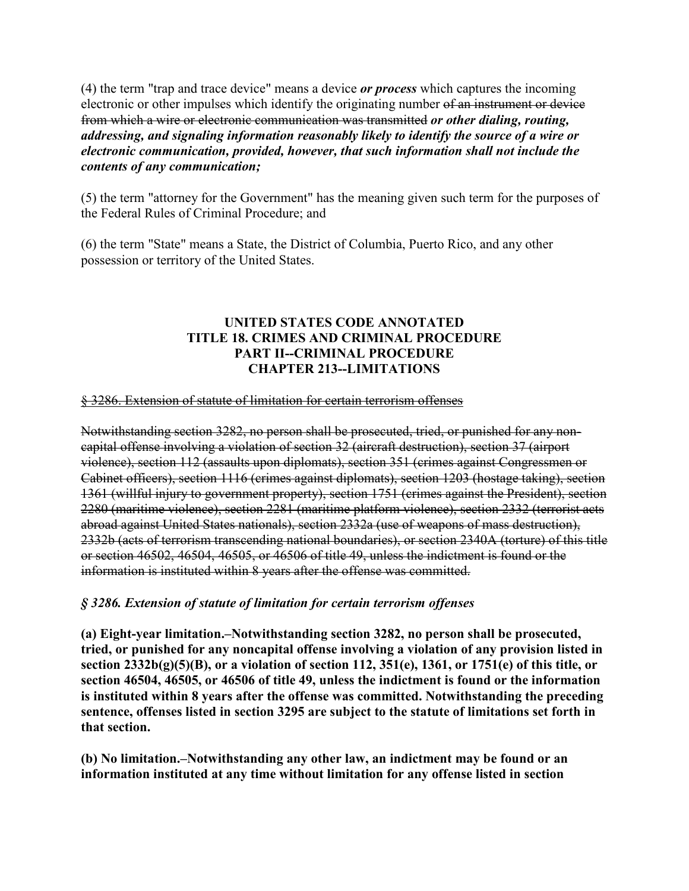(4) the term "trap and trace device" means a device *or process* which captures the incoming electronic or other impulses which identify the originating number of an instrument or device from which a wire or electronic communication was transmitted *or other dialing, routing, addressing, and signaling information reasonably likely to identify the source of a wire or electronic communication, provided, however, that such information shall not include the contents of any communication;*

(5) the term "attorney for the Government" has the meaning given such term for the purposes of the Federal Rules of Criminal Procedure; and

(6) the term "State" means a State, the District of Columbia, Puerto Rico, and any other possession or territory of the United States.

#### **UNITED STATES CODE ANNOTATED TITLE 18. CRIMES AND CRIMINAL PROCEDURE PART II--CRIMINAL PROCEDURE CHAPTER 213--LIMITATIONS**

### § 3286. Extension of statute of limitation for certain terrorism offenses

Notwithstanding section 3282, no person shall be prosecuted, tried, or punished for any noncapital offense involving a violation of section 32 (aircraft destruction), section 37 (airport violence), section 112 (assaults upon diplomats), section 351 (crimes against Congressmen or Cabinet officers), section 1116 (crimes against diplomats), section 1203 (hostage taking), section 1361 (willful injury to government property), section 1751 (crimes against the President), section 2280 (maritime violence), section 2281 (maritime platform violence), section 2332 (terrorist acts abroad against United States nationals), section 2332a (use of weapons of mass destruction), 2332b (acts of terrorism transcending national boundaries), or section 2340A (torture) of this title or section 46502, 46504, 46505, or 46506 of title 49, unless the indictment is found or the information is instituted within 8 years after the offense was committed.

## *§ 3286. Extension of statute of limitation for certain terrorism offenses*

**(a) Eight-year limitation.–Notwithstanding section 3282, no person shall be prosecuted, tried, or punished for any noncapital offense involving a violation of any provision listed in section 2332b(g)(5)(B), or a violation of section 112, 351(e), 1361, or 1751(e) of this title, or section 46504, 46505, or 46506 of title 49, unless the indictment is found or the information is instituted within 8 years after the offense was committed. Notwithstanding the preceding sentence, offenses listed in section 3295 are subject to the statute of limitations set forth in that section.**

**(b) No limitation.–Notwithstanding any other law, an indictment may be found or an information instituted at any time without limitation for any offense listed in section**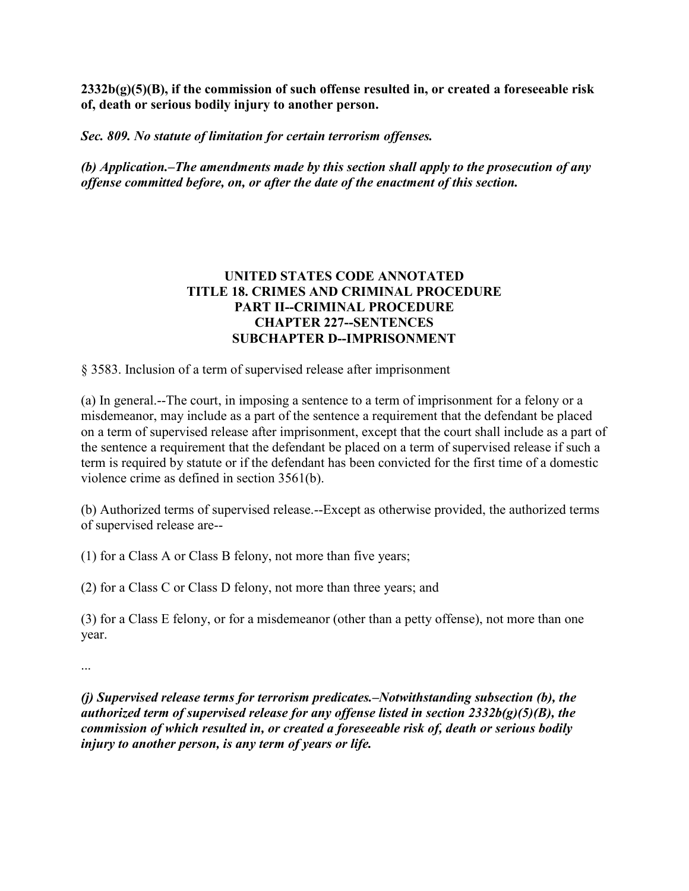**2332b(g)(5)(B), if the commission of such offense resulted in, or created a foreseeable risk of, death or serious bodily injury to another person.**

*Sec. 809. No statute of limitation for certain terrorism offenses.*

*(b) Application.–The amendments made by this section shall apply to the prosecution of any offense committed before, on, or after the date of the enactment of this section.*

#### **UNITED STATES CODE ANNOTATED TITLE 18. CRIMES AND CRIMINAL PROCEDURE PART II--CRIMINAL PROCEDURE CHAPTER 227--SENTENCES SUBCHAPTER D--IMPRISONMENT**

§ 3583. Inclusion of a term of supervised release after imprisonment

(a) In general.--The court, in imposing a sentence to a term of imprisonment for a felony or a misdemeanor, may include as a part of the sentence a requirement that the defendant be placed on a term of supervised release after imprisonment, except that the court shall include as a part of the sentence a requirement that the defendant be placed on a term of supervised release if such a term is required by statute or if the defendant has been convicted for the first time of a domestic violence crime as defined in section 3561(b).

(b) Authorized terms of supervised release.--Except as otherwise provided, the authorized terms of supervised release are--

(1) for a Class A or Class B felony, not more than five years;

(2) for a Class C or Class D felony, not more than three years; and

(3) for a Class E felony, or for a misdemeanor (other than a petty offense), not more than one year.

...

*(j) Supervised release terms for terrorism predicates.–Notwithstanding subsection (b), the authorized term of supervised release for any offense listed in section 2332b(g)(5)(B), the commission of which resulted in, or created a foreseeable risk of, death or serious bodily injury to another person, is any term of years or life.*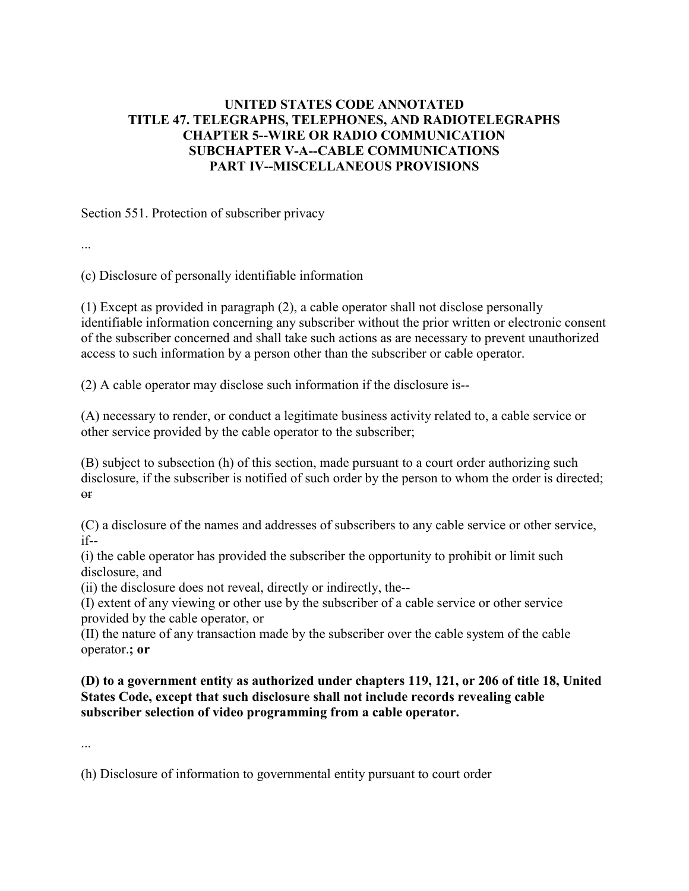## **UNITED STATES CODE ANNOTATED TITLE 47. TELEGRAPHS, TELEPHONES, AND RADIOTELEGRAPHS CHAPTER 5--WIRE OR RADIO COMMUNICATION SUBCHAPTER V-A--CABLE COMMUNICATIONS PART IV--MISCELLANEOUS PROVISIONS**

Section 551. Protection of subscriber privacy

...

(c) Disclosure of personally identifiable information

(1) Except as provided in paragraph (2), a cable operator shall not disclose personally identifiable information concerning any subscriber without the prior written or electronic consent of the subscriber concerned and shall take such actions as are necessary to prevent unauthorized access to such information by a person other than the subscriber or cable operator.

(2) A cable operator may disclose such information if the disclosure is--

(A) necessary to render, or conduct a legitimate business activity related to, a cable service or other service provided by the cable operator to the subscriber;

(B) subject to subsection (h) of this section, made pursuant to a court order authorizing such disclosure, if the subscriber is notified of such order by the person to whom the order is directed; or

(C) a disclosure of the names and addresses of subscribers to any cable service or other service, if--

(i) the cable operator has provided the subscriber the opportunity to prohibit or limit such disclosure, and

(ii) the disclosure does not reveal, directly or indirectly, the--

(I) extent of any viewing or other use by the subscriber of a cable service or other service provided by the cable operator, or

(II) the nature of any transaction made by the subscriber over the cable system of the cable operator.**; or**

**(D) to a government entity as authorized under chapters 119, 121, or 206 of title 18, United States Code, except that such disclosure shall not include records revealing cable subscriber selection of video programming from a cable operator.**

...

(h) Disclosure of information to governmental entity pursuant to court order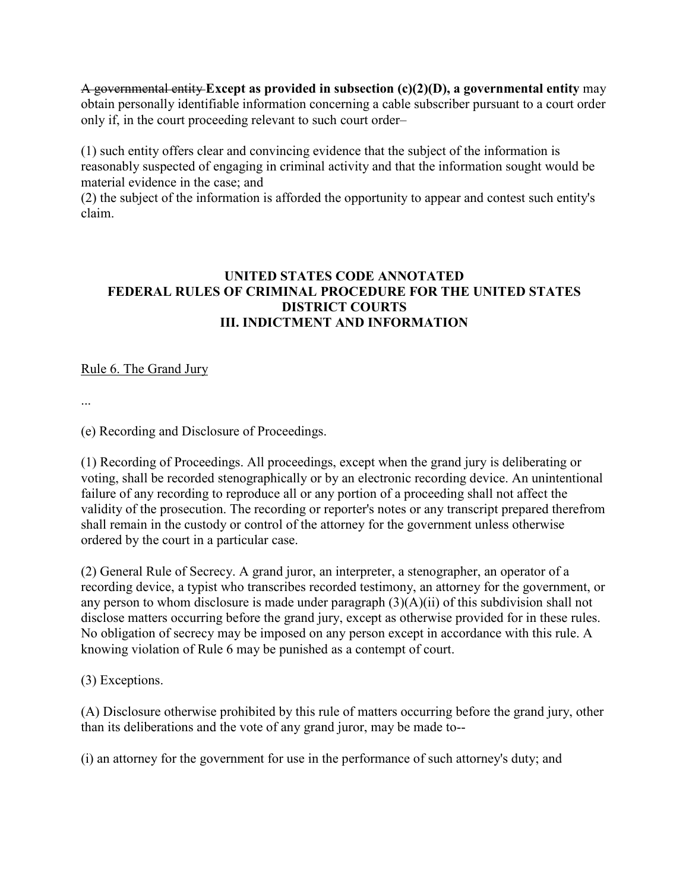A governmental entity **Except as provided in subsection (c)(2)(D), a governmental entity** may obtain personally identifiable information concerning a cable subscriber pursuant to a court order only if, in the court proceeding relevant to such court order–

(1) such entity offers clear and convincing evidence that the subject of the information is reasonably suspected of engaging in criminal activity and that the information sought would be material evidence in the case; and

(2) the subject of the information is afforded the opportunity to appear and contest such entity's claim.

## **UNITED STATES CODE ANNOTATED FEDERAL RULES OF CRIMINAL PROCEDURE FOR THE UNITED STATES DISTRICT COURTS III. INDICTMENT AND INFORMATION**

## Rule 6. The Grand Jury

...

(e) Recording and Disclosure of Proceedings.

(1) Recording of Proceedings. All proceedings, except when the grand jury is deliberating or voting, shall be recorded stenographically or by an electronic recording device. An unintentional failure of any recording to reproduce all or any portion of a proceeding shall not affect the validity of the prosecution. The recording or reporter's notes or any transcript prepared therefrom shall remain in the custody or control of the attorney for the government unless otherwise ordered by the court in a particular case.

(2) General Rule of Secrecy. A grand juror, an interpreter, a stenographer, an operator of a recording device, a typist who transcribes recorded testimony, an attorney for the government, or any person to whom disclosure is made under paragraph  $(3)(A)(ii)$  of this subdivision shall not disclose matters occurring before the grand jury, except as otherwise provided for in these rules. No obligation of secrecy may be imposed on any person except in accordance with this rule. A knowing violation of Rule 6 may be punished as a contempt of court.

(3) Exceptions.

(A) Disclosure otherwise prohibited by this rule of matters occurring before the grand jury, other than its deliberations and the vote of any grand juror, may be made to--

(i) an attorney for the government for use in the performance of such attorney's duty; and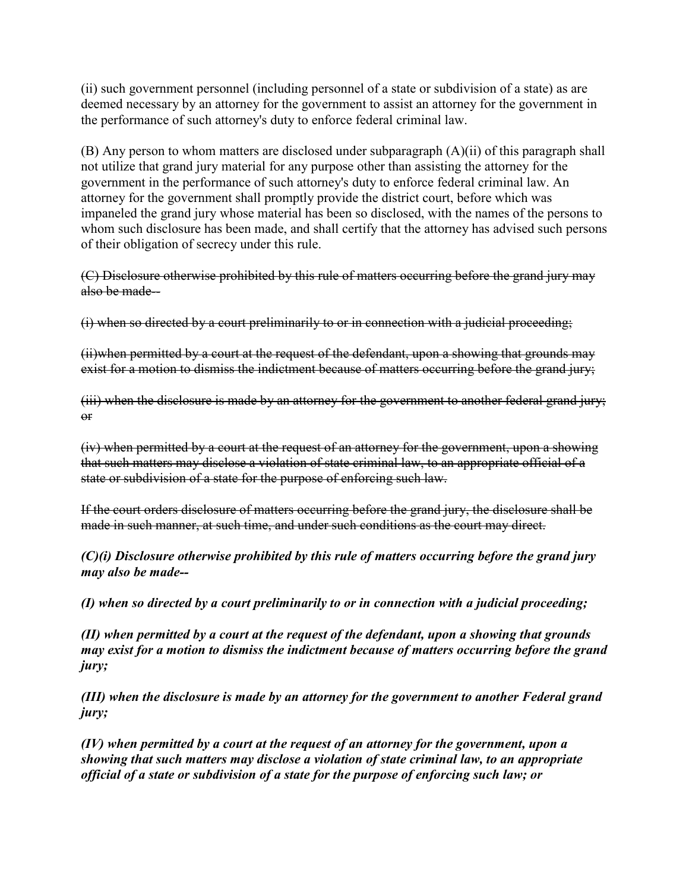(ii) such government personnel (including personnel of a state or subdivision of a state) as are deemed necessary by an attorney for the government to assist an attorney for the government in the performance of such attorney's duty to enforce federal criminal law.

(B) Any person to whom matters are disclosed under subparagraph (A)(ii) of this paragraph shall not utilize that grand jury material for any purpose other than assisting the attorney for the government in the performance of such attorney's duty to enforce federal criminal law. An attorney for the government shall promptly provide the district court, before which was impaneled the grand jury whose material has been so disclosed, with the names of the persons to whom such disclosure has been made, and shall certify that the attorney has advised such persons of their obligation of secrecy under this rule.

(C) Disclosure otherwise prohibited by this rule of matters occurring before the grand jury may also be made--

(i) when so directed by a court preliminarily to or in connection with a judicial proceeding;

(ii)when permitted by a court at the request of the defendant, upon a showing that grounds may exist for a motion to dismiss the indictment because of matters occurring before the grand jury;

(iii) when the disclosure is made by an attorney for the government to another federal grand jury; or

(iv) when permitted by a court at the request of an attorney for the government, upon a showing that such matters may disclose a violation of state criminal law, to an appropriate official of a state or subdivision of a state for the purpose of enforcing such law.

If the court orders disclosure of matters occurring before the grand jury, the disclosure shall be made in such manner, at such time, and under such conditions as the court may direct.

*(C)(i) Disclosure otherwise prohibited by this rule of matters occurring before the grand jury may also be made--*

*(I) when so directed by a court preliminarily to or in connection with a judicial proceeding;*

*(II) when permitted by a court at the request of the defendant, upon a showing that grounds may exist for a motion to dismiss the indictment because of matters occurring before the grand jury;*

*(III) when the disclosure is made by an attorney for the government to another Federal grand jury;* 

*(IV) when permitted by a court at the request of an attorney for the government, upon a showing that such matters may disclose a violation of state criminal law, to an appropriate official of a state or subdivision of a state for the purpose of enforcing such law; or*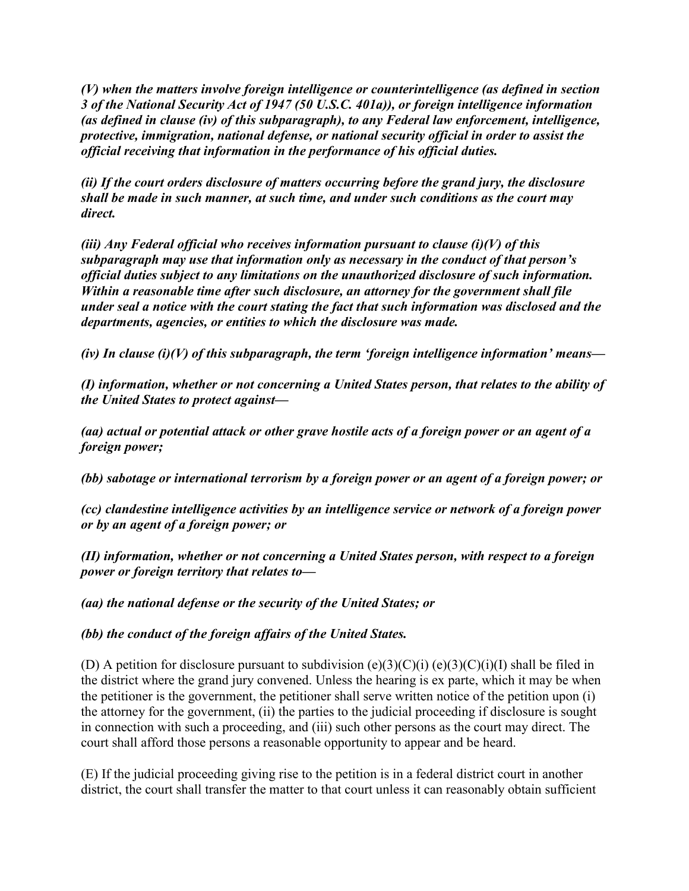*(V) when the matters involve foreign intelligence or counterintelligence (as defined in section 3 of the National Security Act of 1947 (50 U.S.C. 401a)), or foreign intelligence information (as defined in clause (iv) of this subparagraph), to any Federal law enforcement, intelligence, protective, immigration, national defense, or national security official in order to assist the official receiving that information in the performance of his official duties.* 

*(ii) If the court orders disclosure of matters occurring before the grand jury, the disclosure shall be made in such manner, at such time, and under such conditions as the court may direct.* 

*(iii) Any Federal official who receives information pursuant to clause (i)(V) of this subparagraph may use that information only as necessary in the conduct of that person's official duties subject to any limitations on the unauthorized disclosure of such information. Within a reasonable time after such disclosure, an attorney for the government shall file under seal a notice with the court stating the fact that such information was disclosed and the departments, agencies, or entities to which the disclosure was made.* 

*(iv) In clause (i)(V) of this subparagraph, the term 'foreign intelligence information' means—* 

*(I) information, whether or not concerning a United States person, that relates to the ability of the United States to protect against—* 

*(aa) actual or potential attack or other grave hostile acts of a foreign power or an agent of a foreign power;* 

*(bb) sabotage or international terrorism by a foreign power or an agent of a foreign power; or*

*(cc) clandestine intelligence activities by an intelligence service or network of a foreign power or by an agent of a foreign power; or*

*(II) information, whether or not concerning a United States person, with respect to a foreign power or foreign territory that relates to—* 

*(aa) the national defense or the security of the United States; or* 

*(bb) the conduct of the foreign affairs of the United States.* 

(D) A petition for disclosure pursuant to subdivision  $(e)(3)(C)(i)$   $(e)(3)(C)(i)(I)$  shall be filed in the district where the grand jury convened. Unless the hearing is ex parte, which it may be when the petitioner is the government, the petitioner shall serve written notice of the petition upon (i) the attorney for the government, (ii) the parties to the judicial proceeding if disclosure is sought in connection with such a proceeding, and (iii) such other persons as the court may direct. The court shall afford those persons a reasonable opportunity to appear and be heard.

(E) If the judicial proceeding giving rise to the petition is in a federal district court in another district, the court shall transfer the matter to that court unless it can reasonably obtain sufficient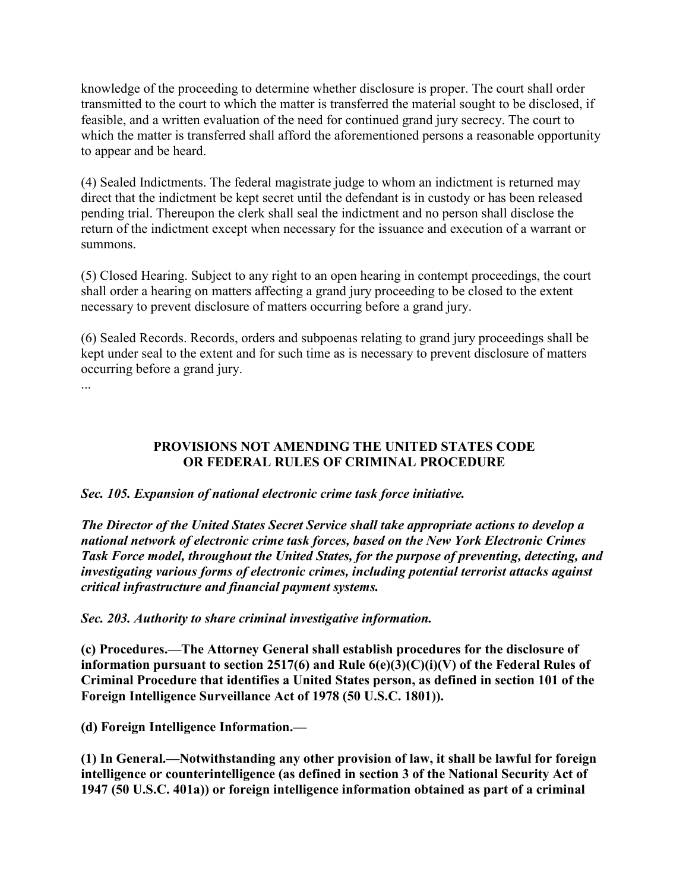knowledge of the proceeding to determine whether disclosure is proper. The court shall order transmitted to the court to which the matter is transferred the material sought to be disclosed, if feasible, and a written evaluation of the need for continued grand jury secrecy. The court to which the matter is transferred shall afford the aforementioned persons a reasonable opportunity to appear and be heard.

(4) Sealed Indictments. The federal magistrate judge to whom an indictment is returned may direct that the indictment be kept secret until the defendant is in custody or has been released pending trial. Thereupon the clerk shall seal the indictment and no person shall disclose the return of the indictment except when necessary for the issuance and execution of a warrant or summons.

(5) Closed Hearing. Subject to any right to an open hearing in contempt proceedings, the court shall order a hearing on matters affecting a grand jury proceeding to be closed to the extent necessary to prevent disclosure of matters occurring before a grand jury.

(6) Sealed Records. Records, orders and subpoenas relating to grand jury proceedings shall be kept under seal to the extent and for such time as is necessary to prevent disclosure of matters occurring before a grand jury.

> **PROVISIONS NOT AMENDING THE UNITED STATES CODE OR FEDERAL RULES OF CRIMINAL PROCEDURE**

*Sec. 105. Expansion of national electronic crime task force initiative.*

*The Director of the United States Secret Service shall take appropriate actions to develop a national network of electronic crime task forces, based on the New York Electronic Crimes Task Force model, throughout the United States, for the purpose of preventing, detecting, and investigating various forms of electronic crimes, including potential terrorist attacks against critical infrastructure and financial payment systems.* 

*Sec. 203. Authority to share criminal investigative information.*

**(c) Procedures.—The Attorney General shall establish procedures for the disclosure of information pursuant to section 2517(6) and Rule 6(e)(3)(C)(i)(V) of the Federal Rules of Criminal Procedure that identifies a United States person, as defined in section 101 of the Foreign Intelligence Surveillance Act of 1978 (50 U.S.C. 1801)).** 

**(d) Foreign Intelligence Information.—** 

...

**(1) In General.—Notwithstanding any other provision of law, it shall be lawful for foreign intelligence or counterintelligence (as defined in section 3 of the National Security Act of 1947 (50 U.S.C. 401a)) or foreign intelligence information obtained as part of a criminal**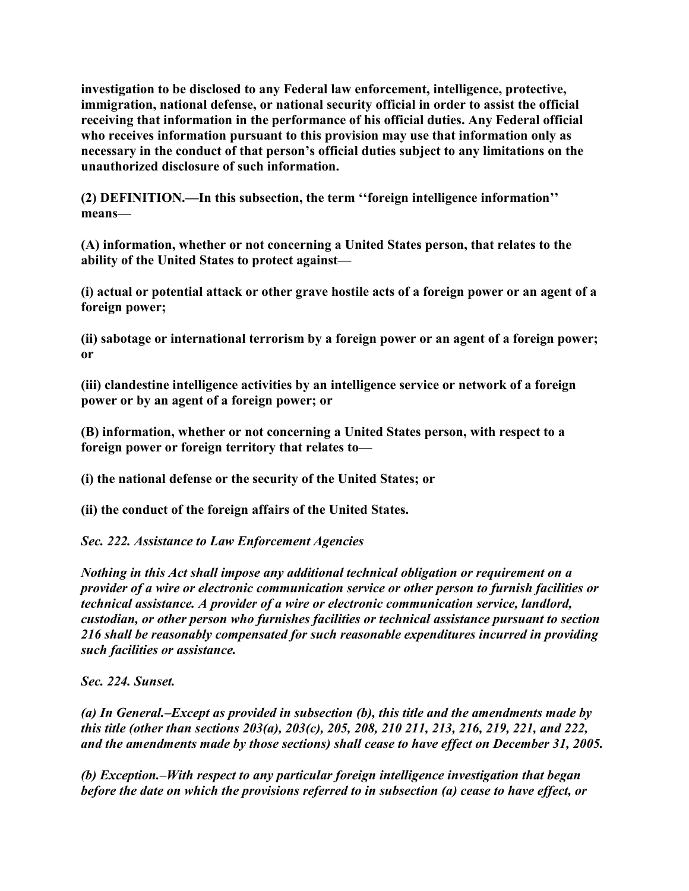**investigation to be disclosed to any Federal law enforcement, intelligence, protective, immigration, national defense, or national security official in order to assist the official receiving that information in the performance of his official duties. Any Federal official who receives information pursuant to this provision may use that information only as necessary in the conduct of that person's official duties subject to any limitations on the unauthorized disclosure of such information.** 

**(2) DEFINITION.—In this subsection, the term ''foreign intelligence information'' means—** 

**(A) information, whether or not concerning a United States person, that relates to the ability of the United States to protect against—** 

**(i) actual or potential attack or other grave hostile acts of a foreign power or an agent of a foreign power;** 

**(ii) sabotage or international terrorism by a foreign power or an agent of a foreign power; or**

**(iii) clandestine intelligence activities by an intelligence service or network of a foreign power or by an agent of a foreign power; or**

**(B) information, whether or not concerning a United States person, with respect to a foreign power or foreign territory that relates to—**

**(i) the national defense or the security of the United States; or** 

**(ii) the conduct of the foreign affairs of the United States.** 

*Sec. 222. Assistance to Law Enforcement Agencies*

*Nothing in this Act shall impose any additional technical obligation or requirement on a provider of a wire or electronic communication service or other person to furnish facilities or technical assistance. A provider of a wire or electronic communication service, landlord, custodian, or other person who furnishes facilities or technical assistance pursuant to section 216 shall be reasonably compensated for such reasonable expenditures incurred in providing such facilities or assistance.*

*Sec. 224. Sunset.*

*(a) In General.–Except as provided in subsection (b), this title and the amendments made by this title (other than sections 203(a), 203(c), 205, 208, 210 211, 213, 216, 219, 221, and 222, and the amendments made by those sections) shall cease to have effect on December 31, 2005.*

*(b) Exception.–With respect to any particular foreign intelligence investigation that began before the date on which the provisions referred to in subsection (a) cease to have effect, or*